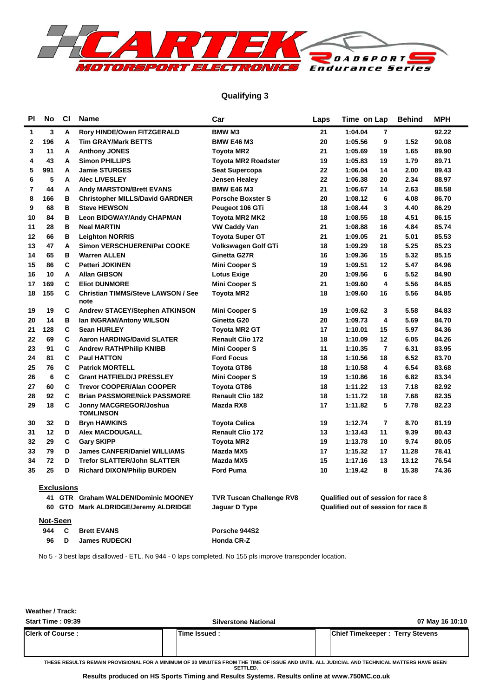

#### **Qualifying 3**

| ΡI | No       | <b>CI</b>         | <b>Name</b>                                       | Car                             | Laps | Time on Lap                         |                | <b>Behind</b> | MPH   |
|----|----------|-------------------|---------------------------------------------------|---------------------------------|------|-------------------------------------|----------------|---------------|-------|
| 1  | 3        | A                 | <b>Rory HINDE/Owen FITZGERALD</b>                 | <b>BMW M3</b>                   | 21   | 1:04.04                             | 7              |               | 92.22 |
| 2  | 196      | A                 | <b>Tim GRAY/Mark BETTS</b>                        | <b>BMW E46 M3</b>               | 20   | 1:05.56                             | 9              | 1.52          | 90.08 |
| 3  | 11       | А                 | <b>Anthony JONES</b>                              | Toyota MR2                      | 21   | 1:05.69                             | 19             | 1.65          | 89.90 |
| 4  | 43       | A                 | <b>Simon PHILLIPS</b>                             | <b>Toyota MR2 Roadster</b>      | 19   | 1:05.83                             | 19             | 1.79          | 89.71 |
| 5  | 991      | A                 | <b>Jamie STURGES</b>                              | <b>Seat Supercopa</b>           | 22   | 1:06.04                             | 14             | 2.00          | 89.43 |
| 6  | 5        | A                 | <b>Alec LIVESLEY</b>                              | Jensen Healey                   | 22   | 1:06.38                             | 20             | 2.34          | 88.97 |
| 7  | 44       | А                 | <b>Andy MARSTON/Brett EVANS</b>                   | <b>BMW E46 M3</b>               | 21   | 1:06.67                             | 14             | 2.63          | 88.58 |
| 8  | 166      | в                 | <b>Christopher MILLS/David GARDNER</b>            | <b>Porsche Boxster S</b>        | 20   | 1:08.12                             | 6              | 4.08          | 86.70 |
| 9  | 68       | в                 | <b>Steve HEWSON</b>                               | Peugeot 106 GTi                 | 18   | 1:08.44                             | 3              | 4.40          | 86.29 |
| 10 | 84       | в                 | <b>Leon BIDGWAY/Andy CHAPMAN</b>                  | Toyota MR2 MK2                  | 18   | 1:08.55                             | 18             | 4.51          | 86.15 |
| 11 | 28       | в                 | <b>Neal MARTIN</b>                                | <b>VW Caddy Van</b>             | 21   | 1:08.88                             | 16             | 4.84          | 85.74 |
| 12 | 66       | в                 | <b>Leighton NORRIS</b>                            | <b>Toyota Super GT</b>          | 21   | 1:09.05                             | 21             | 5.01          | 85.53 |
| 13 | 47       | Α                 | Simon VERSCHUEREN/Pat COOKE                       | Volkswagen Golf GTi             | 18   | 1:09.29                             | 18             | 5.25          | 85.23 |
| 14 | 65       | в                 | <b>Warren ALLEN</b>                               | Ginetta G27R                    | 16   | 1:09.36                             | 15             | 5.32          | 85.15 |
| 15 | 86       | C                 | <b>Petteri JOKINEN</b>                            | <b>Mini Cooper S</b>            | 19   | 1:09.51                             | 12             | 5.47          | 84.96 |
| 16 | 10       | A                 | <b>Allan GIBSON</b>                               | <b>Lotus Exige</b>              | 20   | 1:09.56                             | 6              | 5.52          | 84.90 |
| 17 | 169      | C                 | <b>Eliot DUNMORE</b>                              | Mini Cooper S                   | 21   | 1:09.60                             | 4              | 5.56          | 84.85 |
| 18 | 155      | C                 | <b>Christian TIMMS/Steve LAWSON / See</b><br>note | <b>Toyota MR2</b>               | 18   | 1:09.60                             | 16             | 5.56          | 84.85 |
| 19 | 19       | C                 | <b>Andrew STACEY/Stephen ATKINSON</b>             | <b>Mini Cooper S</b>            | 19   | 1:09.62                             | 3              | 5.58          | 84.83 |
| 20 | 14       | в                 | Ian INGRAM/Antony WILSON                          | Ginetta G20                     | 20   | 1:09.73                             | 4              | 5.69          | 84.70 |
| 21 | 128      | C                 | <b>Sean HURLEY</b>                                | <b>Toyota MR2 GT</b>            | 17   | 1:10.01                             | 15             | 5.97          | 84.36 |
| 22 | 69       | C                 | <b>Aaron HARDING/David SLATER</b>                 | <b>Renault Clio 172</b>         | 18   | 1:10.09                             | 12             | 6.05          | 84.26 |
| 23 | 91       | C                 | <b>Andrew RATH/Philip KNIBB</b>                   | <b>Mini Cooper S</b>            | 11   | 1:10.35                             | $\overline{7}$ | 6.31          | 83.95 |
| 24 | 81       | C                 | <b>Paul HATTON</b>                                | <b>Ford Focus</b>               | 18   | 1:10.56                             | 18             | 6.52          | 83.70 |
| 25 | 76       | C                 | <b>Patrick MORTELL</b>                            | Toyota GT86                     | 18   | 1:10.58                             | 4              | 6.54          | 83.68 |
| 26 | 6        | C                 | <b>Grant HATFIELD/J PRESSLEY</b>                  | <b>Mini Cooper S</b>            | 19   | 1:10.86                             | 16             | 6.82          | 83.34 |
| 27 | 60       | C                 | <b>Trevor COOPER/Alan COOPER</b>                  | <b>Toyota GT86</b>              | 18   | 1:11.22                             | 13             | 7.18          | 82.92 |
| 28 | 92       | C                 | <b>Brian PASSMORE/Nick PASSMORE</b>               | <b>Renault Clio 182</b>         | 18   | 1:11.72                             | 18             | 7.68          | 82.35 |
| 29 | 18       | C                 | Jonny MACGREGOR/Joshua<br><b>TOMLINSON</b>        | Mazda RX8                       | 17   | 1:11.82                             | 5              | 7.78          | 82.23 |
| 30 | 32       | D                 | <b>Bryn HAWKINS</b>                               | <b>Toyota Celica</b>            | 19   | 1:12.74                             | $\overline{7}$ | 8.70          | 81.19 |
| 31 | 12       | D                 | <b>Alex MACDOUGALL</b>                            | <b>Renault Clio 172</b>         | 13   | 1:13.43                             | 11             | 9.39          | 80.43 |
| 32 | 29       | C                 | <b>Gary SKIPP</b>                                 | <b>Toyota MR2</b>               | 19   | 1:13.78                             | 10             | 9.74          | 80.05 |
| 33 | 79       | D                 | <b>James CANFER/Daniel WILLIAMS</b>               | Mazda MX5                       | 17   | 1:15.32                             | 17             | 11.28         | 78.41 |
| 34 | 72       | D                 | <b>Trefor SLATTER/John SLATTER</b>                | Mazda MX5                       | 15   | 1:17.16                             | 13             | 13.12         | 76.54 |
| 35 | 25       | D                 | <b>Richard DIXON/Philip BURDEN</b>                | <b>Ford Puma</b>                | 10   | 1:19.42                             | 8              | 15.38         | 74.36 |
|    |          | <b>Exclusions</b> |                                                   |                                 |      |                                     |                |               |       |
|    |          |                   | 41 GTR Graham WALDEN/Dominic MOONEY               | <b>TVR Tuscan Challenge RV8</b> |      | Qualified out of session for race 8 |                |               |       |
|    |          |                   | 60 GTO Mark ALDRIDGE/Jeremy ALDRIDGE              | Jaguar D Type                   |      | Qualified out of session for race 8 |                |               |       |
|    | Not-Seen |                   |                                                   |                                 |      |                                     |                |               |       |
|    | 944      | C                 | <b>Brett EVANS</b>                                | Porsche 944S2                   |      |                                     |                |               |       |
|    | 96       | D                 | <b>James RUDECKI</b>                              | Honda CR-Z                      |      |                                     |                |               |       |

No 5 - 3 best laps disallowed - ETL. No 944 - 0 laps completed. No 155 pls improve transponder location.

**Weather / Track:** 

| <b>Start Time: 09:39</b>                                                                                                                | <b>Silverstone National</b> | 07 May 16 10:10                        |  |  |  |  |  |  |  |  |  |
|-----------------------------------------------------------------------------------------------------------------------------------------|-----------------------------|----------------------------------------|--|--|--|--|--|--|--|--|--|
| <b>Clerk of Course:</b>                                                                                                                 | lTime Issued :              | <b>Chief Timekeeper: Terry Stevens</b> |  |  |  |  |  |  |  |  |  |
| TUESE BESULTS BEMAIN BRANSSIALA ESPLA MINIMUM SE SAMULITES EBAM TUE TIME SE ISSUE AND UNTULALL UIBIGIAL AND TESINISAL MATTERS UAVE BEEN |                             |                                        |  |  |  |  |  |  |  |  |  |

**THESE RESULTS REMAIN PROVISIONAL FOR A MINIMUM OF 30 MINUTES FROM THE TIME OF ISSUE AND UNTIL ALL JUDICIAL AND TECHNICAL MATTERS HAVE BEEN SETTLED.**

**Results produced on HS Sports Timing and Results Systems. Results online at www.750MC.co.uk**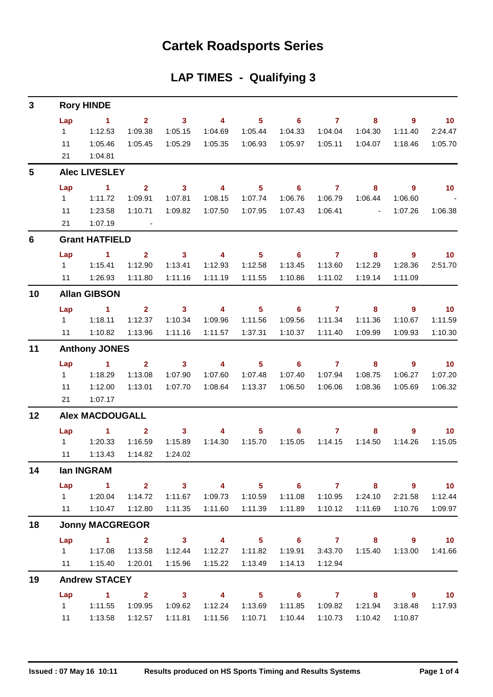## **Cartek Roadsports Series**

### **LAP TIMES - Qualifying 3**

| 3              |           | <b>Rory HINDE</b>      |                                   |                            |                         |                         |                            |                |                          |                            |                   |
|----------------|-----------|------------------------|-----------------------------------|----------------------------|-------------------------|-------------------------|----------------------------|----------------|--------------------------|----------------------------|-------------------|
|                | Lap       | $\sim$ 1               | $\overline{2}$                    | $\overline{\mathbf{3}}$    | $\overline{\mathbf{4}}$ | 5 <sup>5</sup>          | $\overline{\phantom{0}}$ 6 | $\overline{7}$ | 8                        | $\overline{9}$             | $\blacksquare$ 10 |
|                | $1 \quad$ | 1:12.53                | 1:09.38                           | 1:05.15                    | 1:04.69                 | 1:05.44                 | 1:04.33                    | 1:04.04        | 1:04.30                  | 1:11.40                    | 2:24.47           |
|                | 11        | 1:05.46                | 1:05.45                           | 1:05.29                    | 1:05.35                 | 1:06.93                 | 1:05.97                    | 1:05.11        | 1:04.07                  | 1:18.46                    | 1:05.70           |
|                | 21        | 1:04.81                |                                   |                            |                         |                         |                            |                |                          |                            |                   |
| 5              |           | <b>Alec LIVESLEY</b>   |                                   |                            |                         |                         |                            |                |                          |                            |                   |
|                | Lap       | $\sim$ 1               | $\overline{2}$                    | $\overline{\phantom{a}}$ 3 | $\overline{\mathbf{4}}$ | 5 <sub>5</sub>          | $\overline{\phantom{0}}$ 6 | $\overline{7}$ | 8                        | $\overline{9}$             | 10                |
|                | $1 \quad$ | 1:11.72                | 1:09.91                           | 1:07.81                    | 1:08.15                 | 1:07.74                 | 1:06.76                    | 1:06.79        | 1:06.44                  | 1:06.60                    |                   |
|                | 11        | 1:23.58                | 1:10.71                           | 1:09.82                    | 1:07.50                 | 1:07.95                 | 1:07.43                    | 1:06.41        | <b>Contract Contract</b> | 1:07.26                    | 1:06.38           |
|                | 21        | 1:07.19                | $\sim 10^{11}$ and $\sim 10^{11}$ |                            |                         |                         |                            |                |                          |                            |                   |
| $6\phantom{1}$ |           | <b>Grant HATFIELD</b>  |                                   |                            |                         |                         |                            |                |                          |                            |                   |
|                | Lap       | 1.                     | $\mathbf{2}$                      | $\mathbf{3}$               | $\overline{4}$          | $\overline{\mathbf{5}}$ | 6                          | $\mathbf{7}$   | 8                        | 9                          | 10                |
|                | $1 \quad$ | 1:15.41                | 1:12.90                           | 1:13.41                    | 1:12.93                 | 1:12.58                 | 1:13.45                    | 1:13.60        | 1:12.29                  | 1:28.36                    | 2:51.70           |
|                |           | 11  1:26.93            | 1:11.80                           | 1:11.16                    | 1:11.19                 | 1:11.55                 | 1:10.86                    | 1:11.02        | 1:19.14                  | 1:11.09                    |                   |
| 10             |           | <b>Allan GIBSON</b>    |                                   |                            |                         |                         |                            |                |                          |                            |                   |
|                | Lap       | $\sim$ 1               | $\mathbf{2}$                      | $\overline{\mathbf{3}}$    | $\overline{\mathbf{4}}$ | $5^{\circ}$             | $\overline{\phantom{0}}$ 6 | $\overline{7}$ | 8                        | 9                          | 10                |
|                | $1 \quad$ | 1:18.11                | 1:12.37                           | 1:10.34                    | 1:09.96                 | 1:11.56                 | 1:09.56                    | 1:11.34        | 1:11.36                  | 1:10.67                    | 1:11.59           |
|                | 11        | 1:10.82                | 1:13.96                           | 1:11.16                    | 1:11.57                 | 1:37.31                 | 1:10.37                    | 1:11.40        | 1:09.99                  | 1:09.93                    | 1:10.30           |
| 11             |           | <b>Anthony JONES</b>   |                                   |                            |                         |                         |                            |                |                          |                            |                   |
|                | Lap       | $\mathbf{1}$           | 2 <sup>1</sup>                    | $\mathbf{3}$               | $\overline{\mathbf{4}}$ | 5 <sub>5</sub>          | 6                          | $\overline{7}$ | 8                        | 9                          | 10                |
|                | $1 \quad$ | 1:18.29                | 1:13.08                           | 1:07.90                    | 1:07.60                 | 1:07.48                 | 1:07.40                    | 1:07.94        | 1:08.75                  | 1:06.27                    | 1:07.20           |
|                | 11        | 1:12.00                | 1:13.01                           | 1:07.70                    | 1:08.64                 | 1:13.37                 | 1:06.50                    | 1:06.06        | 1:08.36                  | 1:05.69                    | 1:06.32           |
|                | 21        | 1:07.17                |                                   |                            |                         |                         |                            |                |                          |                            |                   |
| 12             |           | <b>Alex MACDOUGALL</b> |                                   |                            |                         |                         |                            |                |                          |                            |                   |
|                | Lap       | $\sim$ 1               | $\mathbf{2}$                      | 3 <sup>1</sup>             | $\overline{\mathbf{4}}$ | 5 <sub>5</sub>          | $6^{\circ}$                | $\overline{7}$ | 8                        | 9                          | 10                |
|                | $1 \quad$ | 1:20.33                | 1:16.59                           | 1:15.89                    | 1:14.30                 | 1:15.70                 | 1:15.05                    | 1:14.15        | 1:14.50                  | 1:14.26                    | 1:15.05           |
|                | 11        | 1:13.43                | 1:14.82                           | 1:24.02                    |                         |                         |                            |                |                          |                            |                   |
| 14             |           | lan INGRAM             |                                   |                            |                         |                         |                            |                |                          |                            |                   |
|                |           | Lap 1 2 3 4            |                                   |                            |                         |                         | $5 \t 6 \t 7$              |                | $\overline{\mathbf{8}}$  | $\overline{\phantom{a}}$ 9 | $\overline{10}$   |
|                |           |                        | 1:14.72                           | 1:11.67                    |                         |                         | 1:11.08                    | 1:10.95        | 1:24.10                  | 2:21.58                    | 1:12.44           |
|                | 11        | 1:10.47                | 1:12.80                           | 1:11.35                    |                         | 1:11.60  1:11.39        | 1:11.89                    | 1:10.12        | 1:11.69                  | 1:10.76                    | 1:09.97           |
| 18             |           | <b>Jonny MACGREGOR</b> |                                   |                            |                         |                         |                            |                |                          |                            |                   |
|                |           | Lap 1 2 3 4 5          |                                   |                            |                         |                         |                            |                | $6$ $7$ $8$ $9$          |                            | $\overline{10}$   |
|                |           | 1   1:17.08   1:13.58  |                                   | 1:12.44                    | 1:12.27                 | 1:11.82                 | 1:19.91                    |                | 3:43.70  1:15.40         | 1:13.00                    | 1:41.66           |
|                |           | 11  1:15.40  1:20.01   |                                   | 1:15.96                    | 1:15.22                 | 1:13.49                 | 1:14.13                    | 1:12.94        |                          |                            |                   |
| 19             |           | <b>Andrew STACEY</b>   |                                   |                            |                         |                         |                            |                |                          |                            |                   |
|                |           | Lap 1 2 3 4            |                                   |                            |                         |                         |                            |                | 5 6 7 8 9 10             |                            |                   |
|                | $1 \quad$ | 1:11.55                | 1:09.95                           | 1:09.62                    | 1:12.24                 | 1:13.69                 | 1:11.85                    | 1:09.82        | 1:21.94                  | 3:18.48                    | 1:17.93           |
|                | 11        | 1:13.58                | 1:12.57                           |                            | 1:11.81  1:11.56        | 1:10.71                 | 1:10.44                    | 1:10.73        | 1:10.42                  | 1:10.87                    |                   |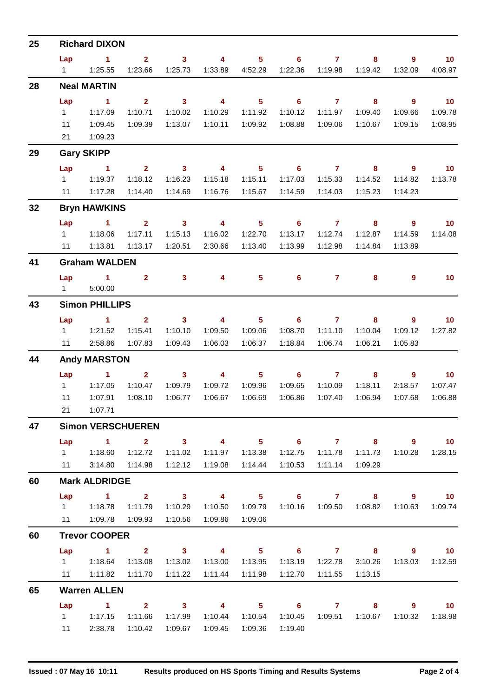| 25 |                       | <b>Richard DIXON</b>                                                                                                                                                                                                                 |                        |                         |                         |                            |                            |                    |                           |                    |                   |
|----|-----------------------|--------------------------------------------------------------------------------------------------------------------------------------------------------------------------------------------------------------------------------------|------------------------|-------------------------|-------------------------|----------------------------|----------------------------|--------------------|---------------------------|--------------------|-------------------|
|    | Lap                   | $\sim$ 1                                                                                                                                                                                                                             | $\overline{2}$         | 3 <sup>1</sup>          | 4                       | 5 <sub>5</sub>             | $6\phantom{1}$             | $\overline{7}$     | 8                         | 9                  | 10                |
|    | $1 \quad \Box$        | 1:25.55                                                                                                                                                                                                                              | 1:23.66                | 1:25.73                 | 1:33.89                 | 4:52.29                    | 1:22.36                    | 1:19.98            | 1:19.42                   | 1:32.09            | 4:08.97           |
| 28 |                       | <b>Neal MARTIN</b>                                                                                                                                                                                                                   |                        |                         |                         |                            |                            |                    |                           |                    |                   |
|    | Lap                   | $\sim$ 1                                                                                                                                                                                                                             | $\overline{2}$         | $\overline{\mathbf{3}}$ | $\overline{4}$          | 5 <sub>5</sub>             | $6\phantom{1}$             | $\overline{7}$     | 8                         | $9^{\circ}$        | 10                |
|    | 1                     | 1:17.09                                                                                                                                                                                                                              | 1:10.71                | 1:10.02                 | 1:10.29                 | 1:11.92                    | 1:10.12                    | 1:11.97            | 1:09.40                   | 1:09.66            | 1:09.78           |
|    | 11                    | 1:09.45                                                                                                                                                                                                                              | 1:09.39                | 1:13.07                 | 1:10.11                 | 1:09.92                    | 1:08.88                    | 1:09.06            | 1:10.67                   | 1:09.15            | 1:08.95           |
|    | 21                    | 1:09.23                                                                                                                                                                                                                              |                        |                         |                         |                            |                            |                    |                           |                    |                   |
| 29 |                       | <b>Gary SKIPP</b>                                                                                                                                                                                                                    |                        |                         |                         |                            |                            |                    |                           |                    |                   |
|    | Lap                   | $\sim$ 1                                                                                                                                                                                                                             | 2 <sup>1</sup>         | $\overline{\mathbf{3}}$ | $\overline{\mathbf{4}}$ | 5 <sub>5</sub>             | $\overline{\phantom{0}}$ 6 | $\overline{7}$     | 8                         | 9                  | $\blacksquare$ 10 |
|    | $1 \quad$<br>11       | 1:19.37<br>1:17.28                                                                                                                                                                                                                   | 1:18.12<br>1:14.40     | 1:16.23<br>1:14.69      | 1:15.18<br>1:16.76      | 1:15.11<br>1:15.67         | 1:17.03<br>1:14.59         | 1:15.33<br>1:14.03 | 1:14.52<br>1:15.23        | 1:14.82<br>1:14.23 | 1:13.78           |
|    |                       |                                                                                                                                                                                                                                      |                        |                         |                         |                            |                            |                    |                           |                    |                   |
| 32 |                       | <b>Bryn HAWKINS</b>                                                                                                                                                                                                                  |                        |                         |                         |                            |                            |                    |                           |                    |                   |
|    | Lap                   | $\blacktriangleleft$                                                                                                                                                                                                                 | $\mathbf{2}$           | $\mathbf{3}$            | $\overline{4}$          | 5 <sup>5</sup>             | $6\phantom{1}$             | $\mathbf{7}$       | 8                         | $\overline{9}$     | 10 <sub>1</sub>   |
|    | $1 \quad$<br>11       | 1:18.06<br>1:13.81                                                                                                                                                                                                                   | 1:17.11<br>1:13.17     | 1:15.13<br>1:20.51      | 1:16.02<br>2:30.66      | 1:22.70<br>1:13.40         | 1:13.17<br>1:13.99         | 1:12.74<br>1:12.98 | 1:12.87<br>1:14.84        | 1:14.59<br>1:13.89 | 1:14.08           |
|    |                       |                                                                                                                                                                                                                                      |                        |                         |                         |                            |                            |                    |                           |                    |                   |
| 41 |                       | <b>Graham WALDEN</b>                                                                                                                                                                                                                 |                        |                         |                         |                            |                            |                    |                           |                    |                   |
|    | Lap<br>$1 \quad \Box$ | $\sim$ 1<br>5:00.00                                                                                                                                                                                                                  | $\mathbf{2}$           | 3 <sup>1</sup>          | 4                       | $5\phantom{.0}$            | $6\phantom{1}$             | $7 -$              | 8                         | $\overline{9}$     | 10 <sub>1</sub>   |
| 43 |                       | <b>Simon PHILLIPS</b>                                                                                                                                                                                                                |                        |                         |                         |                            |                            |                    |                           |                    |                   |
|    | Lap                   | $\blacktriangleleft$                                                                                                                                                                                                                 | $\overline{2}$         | 3 <sup>1</sup>          | $\overline{\mathbf{4}}$ | 5 <sub>5</sub>             | 6                          | $\mathbf{7}$       | 8                         | 9                  | 10 <sub>1</sub>   |
|    | 1                     | 1:21.52                                                                                                                                                                                                                              | 1:15.41                | 1:10.10                 | 1:09.50                 | 1:09.06                    | 1:08.70                    | 1:11.10            | 1:10.04                   | 1:09.12            | 1:27.82           |
|    | 11                    | 2:58.86                                                                                                                                                                                                                              | 1:07.83                | 1:09.43                 | 1:06.03                 | 1:06.37                    | 1:18.84                    | 1:06.74            | 1:06.21                   | 1:05.83            |                   |
| 44 |                       | <b>Andy MARSTON</b>                                                                                                                                                                                                                  |                        |                         |                         |                            |                            |                    |                           |                    |                   |
|    | Lap                   | <b>Contract Advised Advised Advised Advised Advised Advised Advised Advised Advised Advised Advised Advised Advised Advised Advised Advised Advised Advised Advised Advised Advised Advised Advised Advised Advised Advised Advi</b> | $\overline{2}$         | $\overline{\mathbf{3}}$ | $\overline{\mathbf{4}}$ | 5 <sub>1</sub>             | $\overline{\phantom{0}}$ 6 | $\overline{7}$     | 8                         | $9^{\circ}$        | $\overline{10}$   |
|    | $1 \quad$             | 1:17.05                                                                                                                                                                                                                              | 1:10.47                | 1:09.79                 | 1:09.72                 | 1:09.96                    | 1:09.65                    | 1:10.09            | 1:18.11                   | 2:18.57            | 1:07.47           |
|    | 11                    | 1:07.91                                                                                                                                                                                                                              | 1:08.10                | 1:06.77                 | 1:06.67                 | 1:06.69                    | 1:06.86                    | 1:07.40            | 1:06.94                   | 1:07.68            | 1:06.88           |
|    | 21                    | 1:07.71                                                                                                                                                                                                                              |                        |                         |                         |                            |                            |                    |                           |                    |                   |
| 47 |                       | <b>Simon VERSCHUEREN</b>                                                                                                                                                                                                             |                        |                         |                         |                            |                            |                    |                           |                    |                   |
|    | Lap                   | $1 \t 2 \t 3$                                                                                                                                                                                                                        |                        |                         |                         |                            |                            |                    | 4 5 6 7 8 9 10            |                    |                   |
|    |                       | 1   1:18.60                                                                                                                                                                                                                          | 1:12.72                | 1:11.02                 | 1:11.97                 | 1:13.38                    | 1:12.75                    | 1:11.78            | 1:11.73                   | 1:10.28            | 1:28.15           |
|    |                       | 11   3:14.80   1:14.98                                                                                                                                                                                                               |                        | 1:12.12                 | 1:19.08                 | 1:14.44                    | 1:10.53                    | 1:11.14            | 1:09.29                   |                    |                   |
| 60 |                       | <b>Mark ALDRIDGE</b>                                                                                                                                                                                                                 |                        |                         |                         |                            |                            |                    |                           |                    |                   |
|    | Lap                   | $\sim$ 1                                                                                                                                                                                                                             | $\mathbf{2}$           | $\overline{\mathbf{3}}$ | $\overline{\mathbf{4}}$ | $\overline{\phantom{1}}$ 5 | $\overline{\phantom{a}}$ 6 | $\sim$ 7 $\sim$ 7  | 8                         | $\overline{9}$     | $\blacksquare$ 10 |
|    |                       | 1   1:18.78   1:11.79                                                                                                                                                                                                                |                        | 1:10.29                 |                         |                            |                            |                    | 1:10.16  1:09.50  1:08.82 | 1:10.63            | 1:09.74           |
|    |                       | 11  1:09.78  1:09.93                                                                                                                                                                                                                 |                        | 1:10.56                 | 1:09.86                 | 1:09.06                    |                            |                    |                           |                    |                   |
| 60 |                       | <b>Trevor COOPER</b>                                                                                                                                                                                                                 |                        |                         |                         |                            |                            |                    |                           |                    |                   |
|    |                       | Lap 1 2 3                                                                                                                                                                                                                            |                        |                         |                         |                            |                            |                    | 4 5 6 7 8 9               |                    | $\overline{10}$   |
|    |                       |                                                                                                                                                                                                                                      | 1:13.08                | 1:13.02                 | 1:13.00                 | 1:13.95                    | 1:13.19                    | 1:22.78            | 3:10.26                   | 1:13.03            | 1:12.59           |
| 65 |                       | 11  1:11.82  1:11.70<br><b>Warren ALLEN</b>                                                                                                                                                                                          |                        | 1:11.22                 | 1:11.44                 | 1:11.98                    | 1:12.70                    | 1:11.55            | 1:13.15                   |                    |                   |
|    |                       | $\sim$ 1                                                                                                                                                                                                                             |                        | $\overline{\mathbf{3}}$ | $\overline{\mathbf{4}}$ |                            | $\overline{\phantom{0}}$ 6 | $\overline{7}$     | 8                         | $9^{\circ}$        |                   |
|    | Lap                   | 1 1:17.15                                                                                                                                                                                                                            | $2^{\circ}$<br>1:11.66 | 1:17.99                 |                         | $5 -$<br>1:10.44  1:10.54  | 1:10.45                    |                    |                           | 1:10.32            | 10<br>1:18.98     |
|    | 11                    | 2:38.78                                                                                                                                                                                                                              | 1:10.42                | 1:09.67                 | 1:09.45                 | 1:09.36                    | 1:19.40                    |                    |                           |                    |                   |
|    |                       |                                                                                                                                                                                                                                      |                        |                         |                         |                            |                            |                    |                           |                    |                   |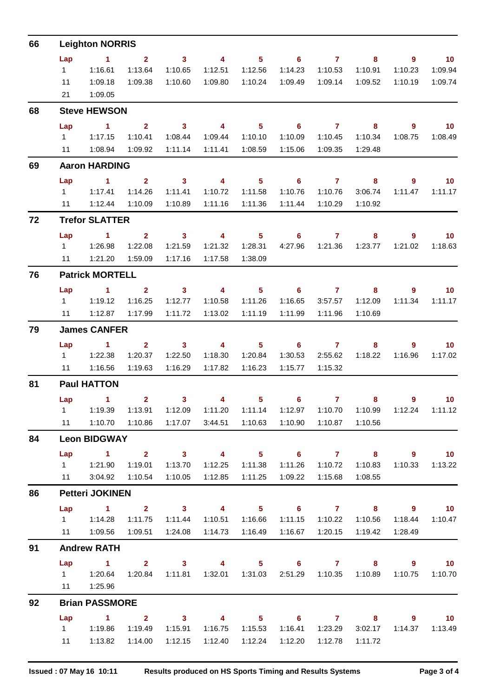| 66 |                        | <b>Leighton NORRIS</b>                                                                                |                         |                                                               |                         |                            |                            |                |                            |             |                   |
|----|------------------------|-------------------------------------------------------------------------------------------------------|-------------------------|---------------------------------------------------------------|-------------------------|----------------------------|----------------------------|----------------|----------------------------|-------------|-------------------|
|    | Lap                    | $\sim$ $\sim$ 1                                                                                       | $\overline{\mathbf{2}}$ | $\overline{\mathbf{3}}$                                       | $\overline{\mathbf{A}}$ | 5 <sub>5</sub>             |                            | $6\qquad 7$    | 8                          | - 9         | $\blacksquare$ 10 |
|    | $1 \quad \blacksquare$ | 1:16.61                                                                                               | 1:13.64                 | 1:10.65                                                       | 1:12.51                 | 1:12.56                    | 1:14.23                    | 1:10.53        | 1:10.91                    | 1:10.23     | 1:09.94           |
|    | 11<br>21               | 1:09.18<br>1:09.05                                                                                    | 1:09.38                 | 1:10.60                                                       | 1:09.80                 | 1:10.24                    | 1:09.49                    |                |                            | 1:10.19     | 1:09.74           |
| 68 |                        | <b>Steve HEWSON</b>                                                                                   |                         |                                                               |                         |                            |                            |                |                            |             |                   |
|    | Lap                    | $\sim$ $\sim$ 1                                                                                       | $\overline{\mathbf{2}}$ | $\overline{\mathbf{3}}$                                       | $\overline{4}$          | 5 <sup>5</sup>             | $\overline{\phantom{0}}$ 6 | $\overline{7}$ | $\overline{\phantom{a}}$ 8 | $9^{\circ}$ | $\blacksquare$ 10 |
|    |                        | 1 1:17.15                                                                                             | 1:10.41                 | 1:08.44                                                       | 1:09.44                 | 1:10.10                    | 1:10.09                    | 1:10.45        | 1:10.34                    | 1:08.75     | 1:08.49           |
|    | 11                     | 1:08.94                                                                                               | 1:09.92                 | 1:11.14                                                       |                         | 1:11.41  1:08.59           | 1:15.06                    | 1:09.35        | 1:29.48                    |             |                   |
| 69 |                        | <b>Aaron HARDING</b>                                                                                  |                         |                                                               |                         |                            |                            |                |                            |             |                   |
|    | Lap                    | $\sim$ 1 $\sim$ 2                                                                                     |                         |                                                               | $3 \qquad \qquad 4$     | $\overline{\phantom{0}}$ 5 |                            | $6$ $7$ $8$    |                            | 9           | $\overline{10}$   |
|    |                        | 1 1:17.41                                                                                             | 1:14.26                 | 1:11.41                                                       | 1:10.72                 | 1:11.58                    | 1:10.76                    | 1:10.76        | 3:06.74                    | 1:11.47     | 1:11.17           |
|    |                        |                                                                                                       | 1:10.09                 | 1:10.89                                                       | 1:11.16                 | 1:11.36                    | 1:11.44                    | 1:10.29        | 1:10.92                    |             |                   |
| 72 |                        | <b>Trefor SLATTER</b>                                                                                 |                         |                                                               |                         |                            |                            |                |                            |             |                   |
|    | Lap                    | $\sim$ 1 2                                                                                            |                         | $\overline{\mathbf{3}}$                                       | $\overline{4}$          | $\overline{\phantom{1}}$ 5 | $\overline{\phantom{a}}$ 6 |                | 8                          | 9           | $\blacksquare$ 10 |
|    |                        | 11   1:21.20                                                                                          | 1:22.08<br>1:59.09      | 1:21.59<br>1:17.16                                            | 1:21.32<br>1:17.58      | 1:28.31<br>1:38.09         |                            |                | 4:27.96  1:21.36  1:23.77  | 1:21.02     | 1:18.63           |
| 76 |                        | <b>Patrick MORTELL</b>                                                                                |                         |                                                               |                         |                            |                            |                |                            |             |                   |
|    | Lap                    | $\sim$ $\sim$ $\sim$ $\sim$ $\sim$                                                                    | $\overline{2}$          | $\overline{\mathbf{3}}$                                       | $\overline{4}$          | $5 -$                      |                            | $6$ $7$ $8$    |                            | $9^{\circ}$ | $\overline{10}$   |
|    |                        | 1 1:19.12                                                                                             | 1:16.25                 | 1:12.77                                                       | 1:10.58                 | 1:11.26                    | 1:16.65                    | 3:57.57        | 1:12.09                    | 1:11.34     | 1:11.17           |
|    |                        |                                                                                                       | 1:17.99                 | 1:11.72                                                       | 1:13.02                 | 1:11.19                    | 1:11.99                    | 1:11.96        | 1:10.69                    |             |                   |
| 79 |                        | <b>James CANFER</b>                                                                                   |                         |                                                               |                         |                            |                            |                |                            |             |                   |
|    | Lap                    | $\sim$ 1 $\sim$ 2                                                                                     |                         | $\sim$ 3                                                      |                         | $4\qquad 5$                |                            | $6\qquad 7$    | 8                          | $9^{\circ}$ | $\blacksquare$ 10 |
|    |                        |                                                                                                       | 1:20.37                 | 1:22.50                                                       | 1:18.30                 | 1:20.84                    | 1:30.53                    | 2:55.62        | 1:18.22                    | 1:16.96     | 1:17.02           |
|    | 11                     | 1:16.56                                                                                               | 1:19.63                 | 1:16.29                                                       | 1:17.82                 | 1:16.23                    | 1:15.77                    | 1:15.32        |                            |             |                   |
| 81 |                        | <b>Paul HATTON</b>                                                                                    |                         |                                                               |                         |                            |                            |                |                            |             |                   |
|    | Lap                    | $\sim$ 1.                                                                                             | $\overline{2}$          | 3 <sub>1</sub>                                                | $\overline{4}$          | 5 <sub>1</sub>             | 6 <sup>1</sup>             | $\mathbf{7}$   | 8                          | $9^{\circ}$ | 10 <sup>°</sup>   |
|    |                        | 1   1:19.39   1:13.91   1:12.09   1:11.20   1:11.14   1:12.97   1:10.70   1:10.99   1:12.24   1:11.12 |                         |                                                               |                         |                            |                            |                |                            |             |                   |
|    |                        | 11  1:10.70  1:10.86                                                                                  |                         |                                                               |                         |                            |                            |                | 1:10.56                    |             |                   |
| 84 |                        | <b>Leon BIDGWAY</b>                                                                                   |                         |                                                               |                         |                            |                            |                |                            |             |                   |
|    |                        | Lap 1 2 3 4 5 6 7 8 9 10                                                                              |                         |                                                               |                         |                            |                            |                |                            |             |                   |
|    |                        |                                                                                                       | 1:19.01                 | 1:13.70                                                       | 1:12.25                 | 1:11.38                    | 1:11.26                    |                |                            |             | 1:10.33  1:13.22  |
|    |                        | 11 3:04.92                                                                                            | 1:10.54                 | 1:10.05                                                       | 1:12.85                 | 1:11.25                    | 1:09.22                    | 1:15.68        | 1:08.55                    |             |                   |
| 86 |                        | <b>Petteri JOKINEN</b>                                                                                |                         |                                                               |                         |                            |                            |                |                            |             |                   |
|    |                        | Lap 1 2 3 4 5 6 7 8 9 10<br>$1 \t 1:14.28$                                                            | 1:11.75                 | 1:11.44                                                       |                         |                            |                            |                |                            | 1:18.44     | 1:10.47           |
|    |                        |                                                                                                       | 1:09.51                 | 1:24.08                                                       |                         |                            | 1:16.67                    | 1:20.15        | 1:19.42                    | 1:28.49     |                   |
| 91 |                        | <b>Andrew RATH</b>                                                                                    |                         |                                                               |                         |                            |                            |                |                            |             |                   |
|    |                        | Lap 1 2 3 4 5 6 7 8 9 10                                                                              |                         |                                                               |                         |                            |                            |                |                            |             |                   |
|    |                        |                                                                                                       |                         | 1:20.84  1:11.81  1:32.01  1:31.03  2:51.29  1:10.35  1:10.89 |                         |                            |                            |                |                            |             | 1:10.75  1:10.70  |
|    |                        | 11  1:25.96                                                                                           |                         |                                                               |                         |                            |                            |                |                            |             |                   |
| 92 |                        | <b>Brian PASSMORE</b>                                                                                 |                         |                                                               |                         |                            |                            |                |                            |             |                   |
|    | Lap                    | 1 2 3 4 5 6 7 8 9 10                                                                                  |                         |                                                               |                         |                            |                            |                |                            |             |                   |
|    |                        | 1   1:19.86                                                                                           | 1:19.49                 | 1:15.91                                                       |                         |                            | 1:16.41                    |                | 1:23.29 3:02.17            |             | 1:14.37  1:13.49  |
|    |                        | 11   1:13.82                                                                                          | 1:14.00                 | 1:12.15                                                       | 1:12.40                 | 1:12.24                    | 1:12.20                    | 1:12.78        | 1:11.72                    |             |                   |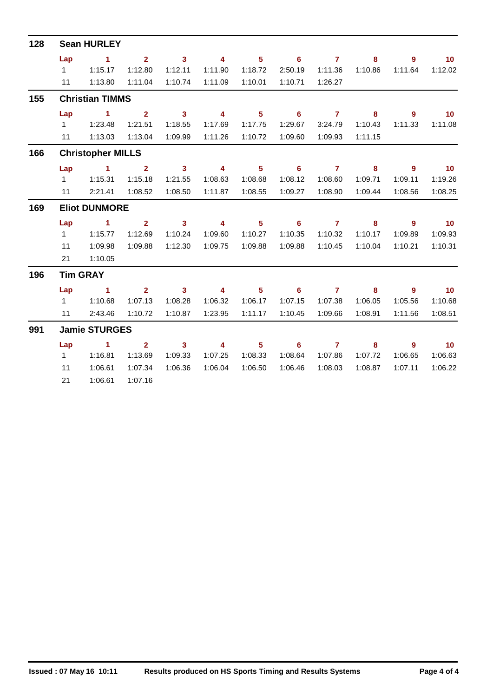| 128 |           | <b>Sean HURLEY</b>            |                         |                            |                         |                            |                            |                     |                            |                            |                   |
|-----|-----------|-------------------------------|-------------------------|----------------------------|-------------------------|----------------------------|----------------------------|---------------------|----------------------------|----------------------------|-------------------|
|     | Lap       | $\sim$ 1                      | 2 <sup>1</sup>          | $\overline{\phantom{a}}$ 3 | $\overline{\mathbf{4}}$ | 5 <sub>1</sub>             | $\overline{\phantom{0}}$ 6 | $\overline{7}$      | 8                          | $\overline{9}$             | $\overline{10}$   |
|     | $1 \quad$ | 1:15.17                       | 1:12.80                 | 1:12.11                    | 1:11.90                 | 1:18.72                    | 2:50.19                    | 1:11.36             | 1:10.86                    | 1:11.64                    | 1:12.02           |
|     |           | 11  1:13.80                   | 1:11.04                 | 1:10.74                    | 1:11.09                 | 1:10.01                    | 1:10.71                    | 1:26.27             |                            |                            |                   |
| 155 |           | <b>Christian TIMMS</b>        |                         |                            |                         |                            |                            |                     |                            |                            |                   |
|     | Lap       | $\sim$ 1                      | $\overline{2}$          | $\overline{\phantom{a}}$ 3 | $\overline{\mathbf{4}}$ | 5 <sup>1</sup>             | $\overline{\phantom{0}}$ 6 | $\overline{7}$      | 8                          | $\overline{9}$             | $\blacksquare$ 10 |
|     |           |                               | 1:21.51                 | 1:18.55                    | 1:17.69                 | 1:17.75                    | 1:29.67                    | 3:24.79             | 1:10.43                    | 1:11.33                    | 1:11.08           |
|     |           | 11 1:13.03                    | 1:13.04                 | 1:09.99                    | 1:11.26                 | 1:10.72                    | 1:09.60                    | 1:09.93             | 1:11.15                    |                            |                   |
| 166 |           | <b>Christopher MILLS</b>      |                         |                            |                         |                            |                            |                     |                            |                            |                   |
|     | Lap       | $\overline{1}$ $\overline{2}$ |                         | $\sim$ 3                   | $\sim$ 4                | $\overline{\phantom{0}}$ 5 | $\overline{\phantom{0}}$ 6 | $\overline{7}$      | $\overline{\mathbf{8}}$    | 9                          | $\overline{10}$   |
|     |           | 1 1:15.31                     | 1:15.18                 | 1:21.55                    | 1:08.63                 | 1:08.68                    | 1:08.12                    | 1:08.60             | 1:09.71                    | 1:09.11                    | 1:19.26           |
|     |           | 11 2:21.41                    | 1:08.52                 | 1:08.50                    | 1:11.87                 | 1:08.55                    | 1:09.27                    | 1:08.90             | 1:09.44                    | 1:08.56                    | 1:08.25           |
| 169 |           | <b>Eliot DUNMORE</b>          |                         |                            |                         |                            |                            |                     |                            |                            |                   |
|     | Lap       | $\sim$ $\sim$ 1               | $\overline{\mathbf{2}}$ | $\overline{\mathbf{3}}$    | $\overline{4}$          | $\overline{\phantom{0}}$ 5 | $\overline{\phantom{0}}$ 6 | $\overline{7}$      | $\overline{\mathbf{8}}$    | $\overline{\phantom{a}}$   | $\overline{10}$   |
|     | $1 \quad$ | 1:15.77                       | 1:12.69                 | 1:10.24                    | 1:09.60                 | 1:10.27                    | 1:10.35                    | 1:10.32             | 1:10.17                    | 1:09.89                    | 1:09.93           |
|     | 11        | 1:09.98                       | 1:09.88                 | 1:12.30                    | 1:09.75                 | 1:09.88                    | 1:09.88                    | 1:10.45             | 1:10.04                    | 1:10.21                    | 1:10.31           |
|     | 21        | 1:10.05                       |                         |                            |                         |                            |                            |                     |                            |                            |                   |
| 196 |           | <b>Tim GRAY</b>               |                         |                            |                         |                            |                            |                     |                            |                            |                   |
|     | Lap       | $\sim$ 1                      |                         | $\overline{2}$ 3           | $\overline{\mathbf{4}}$ | $5^{\circ}$                | $\overline{\phantom{0}}$ 6 | $7 \t 8$            |                            | - 9                        | $\blacksquare$ 10 |
|     |           | 11110.68                      | 1:07.13                 | 1:08.28                    | 1:06.32                 | 1:06.17                    | 1:07.15                    | 1:07.38             | 1:06.05                    | 1:05.56                    | 1:10.68           |
|     | 11        | 2:43.46                       | 1:10.72                 | 1:10.87                    | 1:23.95                 | 1:11.17                    | 1:10.45                    | 1:09.66             | 1:08.91                    | 1:11.56                    | 1:08.51           |
| 991 |           | <b>Jamie STURGES</b>          |                         |                            |                         |                            |                            |                     |                            |                            |                   |
|     | Lap       | $\overline{1}$ $\overline{2}$ |                         | $\overline{\mathbf{3}}$    | $\overline{\mathbf{4}}$ | $\overline{\phantom{1}}$ 5 |                            | $6 \qquad \qquad 7$ | $\overline{\phantom{a}}$ 8 | $\overline{\phantom{a}}$ 9 | $\sim$ 10         |
|     | $1 \quad$ | 1:16.81                       | 1:13.69                 | 1:09.33                    | 1:07.25                 | 1:08.33                    | 1:08.64                    | 1:07.86             | 1:07.72                    | 1:06.65                    | 1:06.63           |
|     | 11        | 1:06.61                       | 1:07.34                 | 1:06.36                    | 1:06.04                 | 1:06.50                    | 1:06.46                    | 1:08.03             | 1:08.87                    | 1:07.11                    | 1:06.22           |
|     | 21        | 1:06.61                       | 1:07.16                 |                            |                         |                            |                            |                     |                            |                            |                   |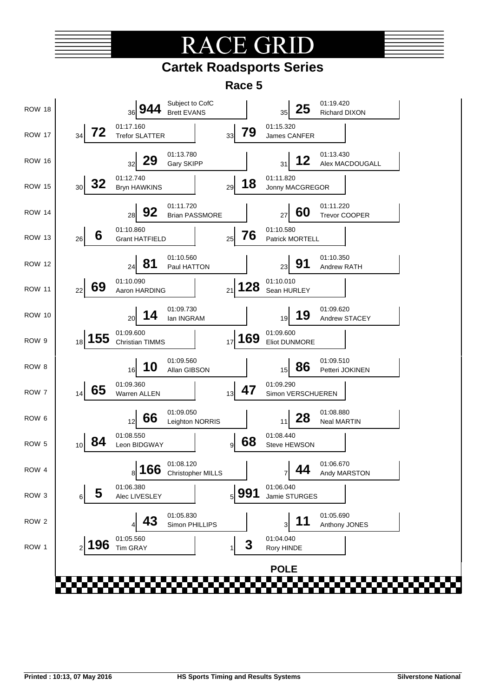# TE GR

### **Cartek Roadsports Series**

**Race 5**

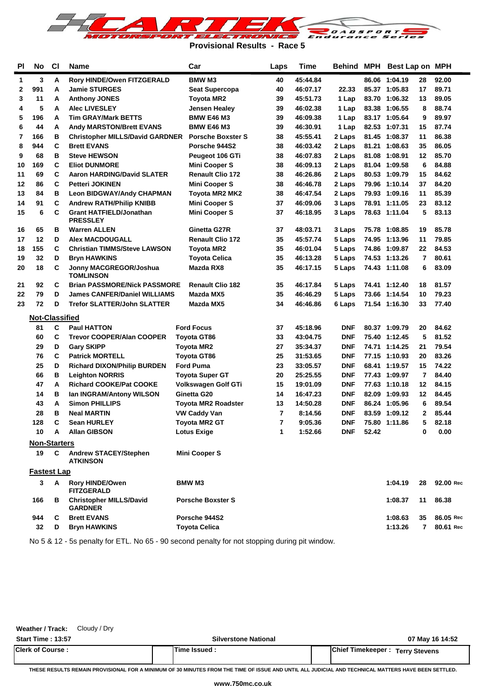

**Provisional Results - Race 5**

| 3<br>Rory HINDE/Owen FITZGERALD<br><b>BMW M3</b><br>40<br>45:44.84<br>86.06 1:04.19<br>92.00<br>1<br>A<br>28<br>991<br><b>Jamie STURGES</b><br>40<br>17<br>89.71<br>2<br>А<br><b>Seat Supercopa</b><br>46:07.17<br>22.33<br>85.37 1:05.83<br>89.05<br>3<br>11<br><b>Toyota MR2</b><br>39<br>45:51.73<br>83.70 1:06.32<br>13<br>А<br><b>Anthony JONES</b><br>1 Lap<br>5<br>88.74<br>4<br><b>Alec LIVESLEY</b><br>Jensen Healey<br>39<br>46:02.38<br>83.38 1:06.55<br>А<br>1 Lap<br>8<br>196<br>89.97<br>5<br><b>Tim GRAY/Mark BETTS</b><br><b>BMW E46 M3</b><br>39<br>83.17 1:05.64<br>9<br>A<br>46:09.38<br>1 Lap<br>87.74<br>6<br>44<br><b>Andy MARSTON/Brett EVANS</b><br><b>BMW E46 M3</b><br>39<br>46:30.91<br>82.53 1:07.31<br>А<br>1 Lap<br>15<br>86.38<br>7<br>166<br>в<br><b>Porsche Boxster S</b><br>38<br>81.45 1:08.37<br><b>Christopher MILLS/David GARDNER</b><br>45:55.41<br>2 Laps<br>11<br>8<br>944<br>C<br>35<br>86.05<br><b>Brett EVANS</b><br>Porsche 944S2<br>38<br>81.21 1:08.63<br>46:03.42<br>2 Laps<br>в<br>85.70<br>9<br>68<br><b>Steve HEWSON</b><br>38<br>81.08 1:08.91<br>12<br>Peugeot 106 GTi<br>46:07.83<br>2 Laps<br>C<br>6<br>84.88<br>169<br><b>Eliot DUNMORE</b><br><b>Mini Cooper S</b><br>81.04 1:09.58<br>10<br>38<br>46:09.13<br>2 Laps<br>C<br>84.62<br>11<br>69<br><b>Aaron HARDING/David SLATER</b><br><b>Renault Clio 172</b><br>38<br>46:26.86<br>80.53 1:09.79<br>15<br>2 Laps<br>C<br>86<br><b>Petteri JOKINEN</b><br><b>Mini Cooper S</b><br>38<br>79.96 1:10.14<br>37<br>84.20<br>12<br>46:46.78<br>2 Laps<br>85.39<br>84<br>в<br>Toyota MR2 MK2<br>38<br>79.93 1:09.16<br>13<br><b>Leon BIDGWAY/Andy CHAPMAN</b><br>46:47.54<br>2 Laps<br>11<br>91<br>83.12<br>14<br>С<br><b>Andrew RATH/Philip KNIBB</b><br><b>Mini Cooper S</b><br>37<br>46:09.06<br>78.91 1:11.05<br>23<br>3 Laps<br>5<br>15<br>6<br>С<br><b>Grant HATFIELD/Jonathan</b><br><b>Mini Cooper S</b><br>37<br>78.63 1:11.04<br>83.13<br>46:18.95<br>3 Laps<br><b>PRESSLEY</b><br>65<br>85.78<br>в<br><b>Warren ALLEN</b><br>Ginetta G27R<br>37<br>48:03.71<br>3 Laps<br>75.78 1:08.85<br>19<br>16<br>12<br>35<br>79.85<br>D<br><b>Alex MACDOUGALL</b><br><b>Renault Clio 172</b><br>74.95 1:13.96<br>11<br>17<br>45:57.74<br>5 Laps<br>155<br>C<br><b>Christian TIMMS/Steve LAWSON</b><br>35<br>46:01.04<br>74.86 1:09.87<br>22<br>84.53<br>18<br><b>Toyota MR2</b><br>5 Laps<br>32<br>D<br>35<br>74.53 1:13.26<br>7<br>80.61<br>19<br><b>Bryn HAWKINS</b><br><b>Toyota Celica</b><br>46:13.28<br>5 Laps<br>18<br>20<br>С<br>Jonny MACGREGOR/Joshua<br>Mazda RX8<br>35<br>74.43 1:11.08<br>6<br>83.09<br>46:17.15<br>5 Laps<br>TOMLINSON<br>92<br>С<br><b>Brian PASSMORE/Nick PASSMORE</b><br><b>Renault Clio 182</b><br>35<br>81.57<br>21<br>46:17.84<br>5 Laps<br>74.41 1:12.40<br>18<br>79<br>D<br><b>James CANFER/Daniel WILLIAMS</b><br>Mazda MX5<br>35<br>46:46.29<br>73.66 1:14.54<br>10<br>79.23<br>22<br>5 Laps<br>72<br>33<br>77.40<br>23<br>D<br><b>Trefor SLATTER/John SLATTER</b><br>34<br>46:46.86<br>71.54 1:16.30<br>Mazda MX5<br>6 Laps<br><b>Not-Classified</b><br>C<br><b>Ford Focus</b><br><b>DNF</b><br>81<br><b>Paul HATTON</b><br>37<br>45:18.96<br>80.37 1:09.79<br>20<br>84.62<br>C<br>81.52<br>60<br><b>Trevor COOPER/Alan COOPER</b><br><b>Toyota GT86</b><br>33<br>43:04.75<br><b>DNF</b><br>75.40 1:12.45<br>5<br>79.54<br>29<br>D<br>27<br>35:34.37<br><b>DNF</b><br>74.71 1:14.25<br><b>Gary SKIPP</b><br>Toyota MR2<br>21<br>C<br>83.26<br>76<br><b>Toyota GT86</b><br>25<br><b>DNF</b><br>77.15 1:10.93<br><b>Patrick MORTELL</b><br>31:53.65<br>20<br>25<br>74.22<br>D<br><b>Richard DIXON/Philip BURDEN</b><br><b>Ford Puma</b><br>23<br>33:05.57<br><b>DNF</b><br>68.41 1:19.57<br>15<br>66<br>в<br><b>Leighton NORRIS</b><br><b>Toyota Super GT</b><br>20<br>25:25.55<br><b>DNF</b><br>77.43 1:09.97<br>7<br>84.40<br>47<br>А<br><b>Richard COOKE/Pat COOKE</b><br>Volkswagen Golf GTi<br>15<br><b>DNF</b><br>77.63 1:10.18<br>12<br>84.15<br>19:01.09<br>84.45<br>14<br>в<br>Ian INGRAM/Antony WILSON<br>Ginetta G20<br>14<br><b>DNF</b><br>82.09 1:09.93<br>12<br>16:47.23<br>6<br>89.54<br>43<br>A<br><b>Simon PHILLIPS</b><br>13<br><b>DNF</b><br>86.24 1:05.96<br><b>Toyota MR2 Roadster</b><br>14:50.28<br>7<br><b>DNF</b><br>$\mathbf{2}$<br>85.44<br>28<br>в<br><b>Neal MARTIN</b><br>83.59 1:09.12<br>VW Caddy Van<br>8:14.56<br>C<br>5<br>128<br>7<br>9:05.36<br><b>DNF</b><br>75.80 1:11.86<br>82.18<br><b>Sean HURLEY</b><br>Toyota MR2 GT<br><b>DNF</b><br>52.42<br>10<br><b>Allan GIBSON</b><br><b>Lotus Exige</b><br>1:52.66<br>0.00<br>A<br>1<br>0<br><b>Non-Starters</b><br>19<br>C<br><b>Andrew STACEY/Stephen</b><br><b>Mini Cooper S</b><br><b>ATKINSON</b><br><b>Fastest Lap</b><br>A –<br>3<br><b>Rory HINDE/Owen</b><br>1:04.19<br>92.00 Rec<br><b>BMW M3</b><br>28<br><b>FITZGERALD</b><br>166<br><b>Christopher MILLS/David</b><br><b>Porsche Boxster S</b><br>86.38<br>в<br>1:08.37<br>11<br><b>GARDNER</b><br><b>Brett EVANS</b><br>Porsche 944S2<br>944<br>C<br>1:08.63<br>35<br>86.05 Rec<br>32<br><b>Toyota Celica</b><br>D<br><b>Bryn HAWKINS</b><br>1:13.26<br>$\mathbf{7}$<br>80.61 Rec | <b>PI</b> | No. | <b>CI</b> | Name | Car | Laps | <b>Time</b> |  | Behind MPH Best Lap on MPH |  |
|-------------------------------------------------------------------------------------------------------------------------------------------------------------------------------------------------------------------------------------------------------------------------------------------------------------------------------------------------------------------------------------------------------------------------------------------------------------------------------------------------------------------------------------------------------------------------------------------------------------------------------------------------------------------------------------------------------------------------------------------------------------------------------------------------------------------------------------------------------------------------------------------------------------------------------------------------------------------------------------------------------------------------------------------------------------------------------------------------------------------------------------------------------------------------------------------------------------------------------------------------------------------------------------------------------------------------------------------------------------------------------------------------------------------------------------------------------------------------------------------------------------------------------------------------------------------------------------------------------------------------------------------------------------------------------------------------------------------------------------------------------------------------------------------------------------------------------------------------------------------------------------------------------------------------------------------------------------------------------------------------------------------------------------------------------------------------------------------------------------------------------------------------------------------------------------------------------------------------------------------------------------------------------------------------------------------------------------------------------------------------------------------------------------------------------------------------------------------------------------------------------------------------------------------------------------------------------------------------------------------------------------------------------------------------------------------------------------------------------------------------------------------------------------------------------------------------------------------------------------------------------------------------------------------------------------------------------------------------------------------------------------------------------------------------------------------------------------------------------------------------------------------------------------------------------------------------------------------------------------------------------------------------------------------------------------------------------------------------------------------------------------------------------------------------------------------------------------------------------------------------------------------------------------------------------------------------------------------------------------------------------------------------------------------------------------------------------------------------------------------------------------------------------------------------------------------------------------------------------------------------------------------------------------------------------------------------------------------------------------------------------------------------------------------------------------------------------------------------------------------------------------------------------------------------------------------------------------------------------------------------------------------------------------------------------------------------------------------------------------------------------------------------------------------------------------------------------------------------------------------------------------------------------------------------------------------------------------------------------------------------------------------------------------------------------------------------------------------------------------------------------------------------------------------------------------------------------------------------------------------------------------------------------------------------------------------------------------------------------------------------------------------------------------------------------------------------------------------------------------------------------------------------------------------------------|-----------|-----|-----------|------|-----|------|-------------|--|----------------------------|--|
|                                                                                                                                                                                                                                                                                                                                                                                                                                                                                                                                                                                                                                                                                                                                                                                                                                                                                                                                                                                                                                                                                                                                                                                                                                                                                                                                                                                                                                                                                                                                                                                                                                                                                                                                                                                                                                                                                                                                                                                                                                                                                                                                                                                                                                                                                                                                                                                                                                                                                                                                                                                                                                                                                                                                                                                                                                                                                                                                                                                                                                                                                                                                                                                                                                                                                                                                                                                                                                                                                                                                                                                                                                                                                                                                                                                                                                                                                                                                                                                                                                                                                                                                                                                                                                                                                                                                                                                                                                                                                                                                                                                                                                                                                                                                                                                                                                                                                                                                                                                                                                                                                                                                                                               |           |     |           |      |     |      |             |  |                            |  |
|                                                                                                                                                                                                                                                                                                                                                                                                                                                                                                                                                                                                                                                                                                                                                                                                                                                                                                                                                                                                                                                                                                                                                                                                                                                                                                                                                                                                                                                                                                                                                                                                                                                                                                                                                                                                                                                                                                                                                                                                                                                                                                                                                                                                                                                                                                                                                                                                                                                                                                                                                                                                                                                                                                                                                                                                                                                                                                                                                                                                                                                                                                                                                                                                                                                                                                                                                                                                                                                                                                                                                                                                                                                                                                                                                                                                                                                                                                                                                                                                                                                                                                                                                                                                                                                                                                                                                                                                                                                                                                                                                                                                                                                                                                                                                                                                                                                                                                                                                                                                                                                                                                                                                                               |           |     |           |      |     |      |             |  |                            |  |
|                                                                                                                                                                                                                                                                                                                                                                                                                                                                                                                                                                                                                                                                                                                                                                                                                                                                                                                                                                                                                                                                                                                                                                                                                                                                                                                                                                                                                                                                                                                                                                                                                                                                                                                                                                                                                                                                                                                                                                                                                                                                                                                                                                                                                                                                                                                                                                                                                                                                                                                                                                                                                                                                                                                                                                                                                                                                                                                                                                                                                                                                                                                                                                                                                                                                                                                                                                                                                                                                                                                                                                                                                                                                                                                                                                                                                                                                                                                                                                                                                                                                                                                                                                                                                                                                                                                                                                                                                                                                                                                                                                                                                                                                                                                                                                                                                                                                                                                                                                                                                                                                                                                                                                               |           |     |           |      |     |      |             |  |                            |  |
|                                                                                                                                                                                                                                                                                                                                                                                                                                                                                                                                                                                                                                                                                                                                                                                                                                                                                                                                                                                                                                                                                                                                                                                                                                                                                                                                                                                                                                                                                                                                                                                                                                                                                                                                                                                                                                                                                                                                                                                                                                                                                                                                                                                                                                                                                                                                                                                                                                                                                                                                                                                                                                                                                                                                                                                                                                                                                                                                                                                                                                                                                                                                                                                                                                                                                                                                                                                                                                                                                                                                                                                                                                                                                                                                                                                                                                                                                                                                                                                                                                                                                                                                                                                                                                                                                                                                                                                                                                                                                                                                                                                                                                                                                                                                                                                                                                                                                                                                                                                                                                                                                                                                                                               |           |     |           |      |     |      |             |  |                            |  |
|                                                                                                                                                                                                                                                                                                                                                                                                                                                                                                                                                                                                                                                                                                                                                                                                                                                                                                                                                                                                                                                                                                                                                                                                                                                                                                                                                                                                                                                                                                                                                                                                                                                                                                                                                                                                                                                                                                                                                                                                                                                                                                                                                                                                                                                                                                                                                                                                                                                                                                                                                                                                                                                                                                                                                                                                                                                                                                                                                                                                                                                                                                                                                                                                                                                                                                                                                                                                                                                                                                                                                                                                                                                                                                                                                                                                                                                                                                                                                                                                                                                                                                                                                                                                                                                                                                                                                                                                                                                                                                                                                                                                                                                                                                                                                                                                                                                                                                                                                                                                                                                                                                                                                                               |           |     |           |      |     |      |             |  |                            |  |
|                                                                                                                                                                                                                                                                                                                                                                                                                                                                                                                                                                                                                                                                                                                                                                                                                                                                                                                                                                                                                                                                                                                                                                                                                                                                                                                                                                                                                                                                                                                                                                                                                                                                                                                                                                                                                                                                                                                                                                                                                                                                                                                                                                                                                                                                                                                                                                                                                                                                                                                                                                                                                                                                                                                                                                                                                                                                                                                                                                                                                                                                                                                                                                                                                                                                                                                                                                                                                                                                                                                                                                                                                                                                                                                                                                                                                                                                                                                                                                                                                                                                                                                                                                                                                                                                                                                                                                                                                                                                                                                                                                                                                                                                                                                                                                                                                                                                                                                                                                                                                                                                                                                                                                               |           |     |           |      |     |      |             |  |                            |  |
|                                                                                                                                                                                                                                                                                                                                                                                                                                                                                                                                                                                                                                                                                                                                                                                                                                                                                                                                                                                                                                                                                                                                                                                                                                                                                                                                                                                                                                                                                                                                                                                                                                                                                                                                                                                                                                                                                                                                                                                                                                                                                                                                                                                                                                                                                                                                                                                                                                                                                                                                                                                                                                                                                                                                                                                                                                                                                                                                                                                                                                                                                                                                                                                                                                                                                                                                                                                                                                                                                                                                                                                                                                                                                                                                                                                                                                                                                                                                                                                                                                                                                                                                                                                                                                                                                                                                                                                                                                                                                                                                                                                                                                                                                                                                                                                                                                                                                                                                                                                                                                                                                                                                                                               |           |     |           |      |     |      |             |  |                            |  |
|                                                                                                                                                                                                                                                                                                                                                                                                                                                                                                                                                                                                                                                                                                                                                                                                                                                                                                                                                                                                                                                                                                                                                                                                                                                                                                                                                                                                                                                                                                                                                                                                                                                                                                                                                                                                                                                                                                                                                                                                                                                                                                                                                                                                                                                                                                                                                                                                                                                                                                                                                                                                                                                                                                                                                                                                                                                                                                                                                                                                                                                                                                                                                                                                                                                                                                                                                                                                                                                                                                                                                                                                                                                                                                                                                                                                                                                                                                                                                                                                                                                                                                                                                                                                                                                                                                                                                                                                                                                                                                                                                                                                                                                                                                                                                                                                                                                                                                                                                                                                                                                                                                                                                                               |           |     |           |      |     |      |             |  |                            |  |
|                                                                                                                                                                                                                                                                                                                                                                                                                                                                                                                                                                                                                                                                                                                                                                                                                                                                                                                                                                                                                                                                                                                                                                                                                                                                                                                                                                                                                                                                                                                                                                                                                                                                                                                                                                                                                                                                                                                                                                                                                                                                                                                                                                                                                                                                                                                                                                                                                                                                                                                                                                                                                                                                                                                                                                                                                                                                                                                                                                                                                                                                                                                                                                                                                                                                                                                                                                                                                                                                                                                                                                                                                                                                                                                                                                                                                                                                                                                                                                                                                                                                                                                                                                                                                                                                                                                                                                                                                                                                                                                                                                                                                                                                                                                                                                                                                                                                                                                                                                                                                                                                                                                                                                               |           |     |           |      |     |      |             |  |                            |  |
|                                                                                                                                                                                                                                                                                                                                                                                                                                                                                                                                                                                                                                                                                                                                                                                                                                                                                                                                                                                                                                                                                                                                                                                                                                                                                                                                                                                                                                                                                                                                                                                                                                                                                                                                                                                                                                                                                                                                                                                                                                                                                                                                                                                                                                                                                                                                                                                                                                                                                                                                                                                                                                                                                                                                                                                                                                                                                                                                                                                                                                                                                                                                                                                                                                                                                                                                                                                                                                                                                                                                                                                                                                                                                                                                                                                                                                                                                                                                                                                                                                                                                                                                                                                                                                                                                                                                                                                                                                                                                                                                                                                                                                                                                                                                                                                                                                                                                                                                                                                                                                                                                                                                                                               |           |     |           |      |     |      |             |  |                            |  |
|                                                                                                                                                                                                                                                                                                                                                                                                                                                                                                                                                                                                                                                                                                                                                                                                                                                                                                                                                                                                                                                                                                                                                                                                                                                                                                                                                                                                                                                                                                                                                                                                                                                                                                                                                                                                                                                                                                                                                                                                                                                                                                                                                                                                                                                                                                                                                                                                                                                                                                                                                                                                                                                                                                                                                                                                                                                                                                                                                                                                                                                                                                                                                                                                                                                                                                                                                                                                                                                                                                                                                                                                                                                                                                                                                                                                                                                                                                                                                                                                                                                                                                                                                                                                                                                                                                                                                                                                                                                                                                                                                                                                                                                                                                                                                                                                                                                                                                                                                                                                                                                                                                                                                                               |           |     |           |      |     |      |             |  |                            |  |
|                                                                                                                                                                                                                                                                                                                                                                                                                                                                                                                                                                                                                                                                                                                                                                                                                                                                                                                                                                                                                                                                                                                                                                                                                                                                                                                                                                                                                                                                                                                                                                                                                                                                                                                                                                                                                                                                                                                                                                                                                                                                                                                                                                                                                                                                                                                                                                                                                                                                                                                                                                                                                                                                                                                                                                                                                                                                                                                                                                                                                                                                                                                                                                                                                                                                                                                                                                                                                                                                                                                                                                                                                                                                                                                                                                                                                                                                                                                                                                                                                                                                                                                                                                                                                                                                                                                                                                                                                                                                                                                                                                                                                                                                                                                                                                                                                                                                                                                                                                                                                                                                                                                                                                               |           |     |           |      |     |      |             |  |                            |  |
|                                                                                                                                                                                                                                                                                                                                                                                                                                                                                                                                                                                                                                                                                                                                                                                                                                                                                                                                                                                                                                                                                                                                                                                                                                                                                                                                                                                                                                                                                                                                                                                                                                                                                                                                                                                                                                                                                                                                                                                                                                                                                                                                                                                                                                                                                                                                                                                                                                                                                                                                                                                                                                                                                                                                                                                                                                                                                                                                                                                                                                                                                                                                                                                                                                                                                                                                                                                                                                                                                                                                                                                                                                                                                                                                                                                                                                                                                                                                                                                                                                                                                                                                                                                                                                                                                                                                                                                                                                                                                                                                                                                                                                                                                                                                                                                                                                                                                                                                                                                                                                                                                                                                                                               |           |     |           |      |     |      |             |  |                            |  |
|                                                                                                                                                                                                                                                                                                                                                                                                                                                                                                                                                                                                                                                                                                                                                                                                                                                                                                                                                                                                                                                                                                                                                                                                                                                                                                                                                                                                                                                                                                                                                                                                                                                                                                                                                                                                                                                                                                                                                                                                                                                                                                                                                                                                                                                                                                                                                                                                                                                                                                                                                                                                                                                                                                                                                                                                                                                                                                                                                                                                                                                                                                                                                                                                                                                                                                                                                                                                                                                                                                                                                                                                                                                                                                                                                                                                                                                                                                                                                                                                                                                                                                                                                                                                                                                                                                                                                                                                                                                                                                                                                                                                                                                                                                                                                                                                                                                                                                                                                                                                                                                                                                                                                                               |           |     |           |      |     |      |             |  |                            |  |
|                                                                                                                                                                                                                                                                                                                                                                                                                                                                                                                                                                                                                                                                                                                                                                                                                                                                                                                                                                                                                                                                                                                                                                                                                                                                                                                                                                                                                                                                                                                                                                                                                                                                                                                                                                                                                                                                                                                                                                                                                                                                                                                                                                                                                                                                                                                                                                                                                                                                                                                                                                                                                                                                                                                                                                                                                                                                                                                                                                                                                                                                                                                                                                                                                                                                                                                                                                                                                                                                                                                                                                                                                                                                                                                                                                                                                                                                                                                                                                                                                                                                                                                                                                                                                                                                                                                                                                                                                                                                                                                                                                                                                                                                                                                                                                                                                                                                                                                                                                                                                                                                                                                                                                               |           |     |           |      |     |      |             |  |                            |  |
|                                                                                                                                                                                                                                                                                                                                                                                                                                                                                                                                                                                                                                                                                                                                                                                                                                                                                                                                                                                                                                                                                                                                                                                                                                                                                                                                                                                                                                                                                                                                                                                                                                                                                                                                                                                                                                                                                                                                                                                                                                                                                                                                                                                                                                                                                                                                                                                                                                                                                                                                                                                                                                                                                                                                                                                                                                                                                                                                                                                                                                                                                                                                                                                                                                                                                                                                                                                                                                                                                                                                                                                                                                                                                                                                                                                                                                                                                                                                                                                                                                                                                                                                                                                                                                                                                                                                                                                                                                                                                                                                                                                                                                                                                                                                                                                                                                                                                                                                                                                                                                                                                                                                                                               |           |     |           |      |     |      |             |  |                            |  |
|                                                                                                                                                                                                                                                                                                                                                                                                                                                                                                                                                                                                                                                                                                                                                                                                                                                                                                                                                                                                                                                                                                                                                                                                                                                                                                                                                                                                                                                                                                                                                                                                                                                                                                                                                                                                                                                                                                                                                                                                                                                                                                                                                                                                                                                                                                                                                                                                                                                                                                                                                                                                                                                                                                                                                                                                                                                                                                                                                                                                                                                                                                                                                                                                                                                                                                                                                                                                                                                                                                                                                                                                                                                                                                                                                                                                                                                                                                                                                                                                                                                                                                                                                                                                                                                                                                                                                                                                                                                                                                                                                                                                                                                                                                                                                                                                                                                                                                                                                                                                                                                                                                                                                                               |           |     |           |      |     |      |             |  |                            |  |
|                                                                                                                                                                                                                                                                                                                                                                                                                                                                                                                                                                                                                                                                                                                                                                                                                                                                                                                                                                                                                                                                                                                                                                                                                                                                                                                                                                                                                                                                                                                                                                                                                                                                                                                                                                                                                                                                                                                                                                                                                                                                                                                                                                                                                                                                                                                                                                                                                                                                                                                                                                                                                                                                                                                                                                                                                                                                                                                                                                                                                                                                                                                                                                                                                                                                                                                                                                                                                                                                                                                                                                                                                                                                                                                                                                                                                                                                                                                                                                                                                                                                                                                                                                                                                                                                                                                                                                                                                                                                                                                                                                                                                                                                                                                                                                                                                                                                                                                                                                                                                                                                                                                                                                               |           |     |           |      |     |      |             |  |                            |  |
|                                                                                                                                                                                                                                                                                                                                                                                                                                                                                                                                                                                                                                                                                                                                                                                                                                                                                                                                                                                                                                                                                                                                                                                                                                                                                                                                                                                                                                                                                                                                                                                                                                                                                                                                                                                                                                                                                                                                                                                                                                                                                                                                                                                                                                                                                                                                                                                                                                                                                                                                                                                                                                                                                                                                                                                                                                                                                                                                                                                                                                                                                                                                                                                                                                                                                                                                                                                                                                                                                                                                                                                                                                                                                                                                                                                                                                                                                                                                                                                                                                                                                                                                                                                                                                                                                                                                                                                                                                                                                                                                                                                                                                                                                                                                                                                                                                                                                                                                                                                                                                                                                                                                                                               |           |     |           |      |     |      |             |  |                            |  |
|                                                                                                                                                                                                                                                                                                                                                                                                                                                                                                                                                                                                                                                                                                                                                                                                                                                                                                                                                                                                                                                                                                                                                                                                                                                                                                                                                                                                                                                                                                                                                                                                                                                                                                                                                                                                                                                                                                                                                                                                                                                                                                                                                                                                                                                                                                                                                                                                                                                                                                                                                                                                                                                                                                                                                                                                                                                                                                                                                                                                                                                                                                                                                                                                                                                                                                                                                                                                                                                                                                                                                                                                                                                                                                                                                                                                                                                                                                                                                                                                                                                                                                                                                                                                                                                                                                                                                                                                                                                                                                                                                                                                                                                                                                                                                                                                                                                                                                                                                                                                                                                                                                                                                                               |           |     |           |      |     |      |             |  |                            |  |
|                                                                                                                                                                                                                                                                                                                                                                                                                                                                                                                                                                                                                                                                                                                                                                                                                                                                                                                                                                                                                                                                                                                                                                                                                                                                                                                                                                                                                                                                                                                                                                                                                                                                                                                                                                                                                                                                                                                                                                                                                                                                                                                                                                                                                                                                                                                                                                                                                                                                                                                                                                                                                                                                                                                                                                                                                                                                                                                                                                                                                                                                                                                                                                                                                                                                                                                                                                                                                                                                                                                                                                                                                                                                                                                                                                                                                                                                                                                                                                                                                                                                                                                                                                                                                                                                                                                                                                                                                                                                                                                                                                                                                                                                                                                                                                                                                                                                                                                                                                                                                                                                                                                                                                               |           |     |           |      |     |      |             |  |                            |  |
|                                                                                                                                                                                                                                                                                                                                                                                                                                                                                                                                                                                                                                                                                                                                                                                                                                                                                                                                                                                                                                                                                                                                                                                                                                                                                                                                                                                                                                                                                                                                                                                                                                                                                                                                                                                                                                                                                                                                                                                                                                                                                                                                                                                                                                                                                                                                                                                                                                                                                                                                                                                                                                                                                                                                                                                                                                                                                                                                                                                                                                                                                                                                                                                                                                                                                                                                                                                                                                                                                                                                                                                                                                                                                                                                                                                                                                                                                                                                                                                                                                                                                                                                                                                                                                                                                                                                                                                                                                                                                                                                                                                                                                                                                                                                                                                                                                                                                                                                                                                                                                                                                                                                                                               |           |     |           |      |     |      |             |  |                            |  |
|                                                                                                                                                                                                                                                                                                                                                                                                                                                                                                                                                                                                                                                                                                                                                                                                                                                                                                                                                                                                                                                                                                                                                                                                                                                                                                                                                                                                                                                                                                                                                                                                                                                                                                                                                                                                                                                                                                                                                                                                                                                                                                                                                                                                                                                                                                                                                                                                                                                                                                                                                                                                                                                                                                                                                                                                                                                                                                                                                                                                                                                                                                                                                                                                                                                                                                                                                                                                                                                                                                                                                                                                                                                                                                                                                                                                                                                                                                                                                                                                                                                                                                                                                                                                                                                                                                                                                                                                                                                                                                                                                                                                                                                                                                                                                                                                                                                                                                                                                                                                                                                                                                                                                                               |           |     |           |      |     |      |             |  |                            |  |
|                                                                                                                                                                                                                                                                                                                                                                                                                                                                                                                                                                                                                                                                                                                                                                                                                                                                                                                                                                                                                                                                                                                                                                                                                                                                                                                                                                                                                                                                                                                                                                                                                                                                                                                                                                                                                                                                                                                                                                                                                                                                                                                                                                                                                                                                                                                                                                                                                                                                                                                                                                                                                                                                                                                                                                                                                                                                                                                                                                                                                                                                                                                                                                                                                                                                                                                                                                                                                                                                                                                                                                                                                                                                                                                                                                                                                                                                                                                                                                                                                                                                                                                                                                                                                                                                                                                                                                                                                                                                                                                                                                                                                                                                                                                                                                                                                                                                                                                                                                                                                                                                                                                                                                               |           |     |           |      |     |      |             |  |                            |  |
|                                                                                                                                                                                                                                                                                                                                                                                                                                                                                                                                                                                                                                                                                                                                                                                                                                                                                                                                                                                                                                                                                                                                                                                                                                                                                                                                                                                                                                                                                                                                                                                                                                                                                                                                                                                                                                                                                                                                                                                                                                                                                                                                                                                                                                                                                                                                                                                                                                                                                                                                                                                                                                                                                                                                                                                                                                                                                                                                                                                                                                                                                                                                                                                                                                                                                                                                                                                                                                                                                                                                                                                                                                                                                                                                                                                                                                                                                                                                                                                                                                                                                                                                                                                                                                                                                                                                                                                                                                                                                                                                                                                                                                                                                                                                                                                                                                                                                                                                                                                                                                                                                                                                                                               |           |     |           |      |     |      |             |  |                            |  |
|                                                                                                                                                                                                                                                                                                                                                                                                                                                                                                                                                                                                                                                                                                                                                                                                                                                                                                                                                                                                                                                                                                                                                                                                                                                                                                                                                                                                                                                                                                                                                                                                                                                                                                                                                                                                                                                                                                                                                                                                                                                                                                                                                                                                                                                                                                                                                                                                                                                                                                                                                                                                                                                                                                                                                                                                                                                                                                                                                                                                                                                                                                                                                                                                                                                                                                                                                                                                                                                                                                                                                                                                                                                                                                                                                                                                                                                                                                                                                                                                                                                                                                                                                                                                                                                                                                                                                                                                                                                                                                                                                                                                                                                                                                                                                                                                                                                                                                                                                                                                                                                                                                                                                                               |           |     |           |      |     |      |             |  |                            |  |
|                                                                                                                                                                                                                                                                                                                                                                                                                                                                                                                                                                                                                                                                                                                                                                                                                                                                                                                                                                                                                                                                                                                                                                                                                                                                                                                                                                                                                                                                                                                                                                                                                                                                                                                                                                                                                                                                                                                                                                                                                                                                                                                                                                                                                                                                                                                                                                                                                                                                                                                                                                                                                                                                                                                                                                                                                                                                                                                                                                                                                                                                                                                                                                                                                                                                                                                                                                                                                                                                                                                                                                                                                                                                                                                                                                                                                                                                                                                                                                                                                                                                                                                                                                                                                                                                                                                                                                                                                                                                                                                                                                                                                                                                                                                                                                                                                                                                                                                                                                                                                                                                                                                                                                               |           |     |           |      |     |      |             |  |                            |  |
|                                                                                                                                                                                                                                                                                                                                                                                                                                                                                                                                                                                                                                                                                                                                                                                                                                                                                                                                                                                                                                                                                                                                                                                                                                                                                                                                                                                                                                                                                                                                                                                                                                                                                                                                                                                                                                                                                                                                                                                                                                                                                                                                                                                                                                                                                                                                                                                                                                                                                                                                                                                                                                                                                                                                                                                                                                                                                                                                                                                                                                                                                                                                                                                                                                                                                                                                                                                                                                                                                                                                                                                                                                                                                                                                                                                                                                                                                                                                                                                                                                                                                                                                                                                                                                                                                                                                                                                                                                                                                                                                                                                                                                                                                                                                                                                                                                                                                                                                                                                                                                                                                                                                                                               |           |     |           |      |     |      |             |  |                            |  |
|                                                                                                                                                                                                                                                                                                                                                                                                                                                                                                                                                                                                                                                                                                                                                                                                                                                                                                                                                                                                                                                                                                                                                                                                                                                                                                                                                                                                                                                                                                                                                                                                                                                                                                                                                                                                                                                                                                                                                                                                                                                                                                                                                                                                                                                                                                                                                                                                                                                                                                                                                                                                                                                                                                                                                                                                                                                                                                                                                                                                                                                                                                                                                                                                                                                                                                                                                                                                                                                                                                                                                                                                                                                                                                                                                                                                                                                                                                                                                                                                                                                                                                                                                                                                                                                                                                                                                                                                                                                                                                                                                                                                                                                                                                                                                                                                                                                                                                                                                                                                                                                                                                                                                                               |           |     |           |      |     |      |             |  |                            |  |
|                                                                                                                                                                                                                                                                                                                                                                                                                                                                                                                                                                                                                                                                                                                                                                                                                                                                                                                                                                                                                                                                                                                                                                                                                                                                                                                                                                                                                                                                                                                                                                                                                                                                                                                                                                                                                                                                                                                                                                                                                                                                                                                                                                                                                                                                                                                                                                                                                                                                                                                                                                                                                                                                                                                                                                                                                                                                                                                                                                                                                                                                                                                                                                                                                                                                                                                                                                                                                                                                                                                                                                                                                                                                                                                                                                                                                                                                                                                                                                                                                                                                                                                                                                                                                                                                                                                                                                                                                                                                                                                                                                                                                                                                                                                                                                                                                                                                                                                                                                                                                                                                                                                                                                               |           |     |           |      |     |      |             |  |                            |  |
|                                                                                                                                                                                                                                                                                                                                                                                                                                                                                                                                                                                                                                                                                                                                                                                                                                                                                                                                                                                                                                                                                                                                                                                                                                                                                                                                                                                                                                                                                                                                                                                                                                                                                                                                                                                                                                                                                                                                                                                                                                                                                                                                                                                                                                                                                                                                                                                                                                                                                                                                                                                                                                                                                                                                                                                                                                                                                                                                                                                                                                                                                                                                                                                                                                                                                                                                                                                                                                                                                                                                                                                                                                                                                                                                                                                                                                                                                                                                                                                                                                                                                                                                                                                                                                                                                                                                                                                                                                                                                                                                                                                                                                                                                                                                                                                                                                                                                                                                                                                                                                                                                                                                                                               |           |     |           |      |     |      |             |  |                            |  |
|                                                                                                                                                                                                                                                                                                                                                                                                                                                                                                                                                                                                                                                                                                                                                                                                                                                                                                                                                                                                                                                                                                                                                                                                                                                                                                                                                                                                                                                                                                                                                                                                                                                                                                                                                                                                                                                                                                                                                                                                                                                                                                                                                                                                                                                                                                                                                                                                                                                                                                                                                                                                                                                                                                                                                                                                                                                                                                                                                                                                                                                                                                                                                                                                                                                                                                                                                                                                                                                                                                                                                                                                                                                                                                                                                                                                                                                                                                                                                                                                                                                                                                                                                                                                                                                                                                                                                                                                                                                                                                                                                                                                                                                                                                                                                                                                                                                                                                                                                                                                                                                                                                                                                                               |           |     |           |      |     |      |             |  |                            |  |
|                                                                                                                                                                                                                                                                                                                                                                                                                                                                                                                                                                                                                                                                                                                                                                                                                                                                                                                                                                                                                                                                                                                                                                                                                                                                                                                                                                                                                                                                                                                                                                                                                                                                                                                                                                                                                                                                                                                                                                                                                                                                                                                                                                                                                                                                                                                                                                                                                                                                                                                                                                                                                                                                                                                                                                                                                                                                                                                                                                                                                                                                                                                                                                                                                                                                                                                                                                                                                                                                                                                                                                                                                                                                                                                                                                                                                                                                                                                                                                                                                                                                                                                                                                                                                                                                                                                                                                                                                                                                                                                                                                                                                                                                                                                                                                                                                                                                                                                                                                                                                                                                                                                                                                               |           |     |           |      |     |      |             |  |                            |  |
|                                                                                                                                                                                                                                                                                                                                                                                                                                                                                                                                                                                                                                                                                                                                                                                                                                                                                                                                                                                                                                                                                                                                                                                                                                                                                                                                                                                                                                                                                                                                                                                                                                                                                                                                                                                                                                                                                                                                                                                                                                                                                                                                                                                                                                                                                                                                                                                                                                                                                                                                                                                                                                                                                                                                                                                                                                                                                                                                                                                                                                                                                                                                                                                                                                                                                                                                                                                                                                                                                                                                                                                                                                                                                                                                                                                                                                                                                                                                                                                                                                                                                                                                                                                                                                                                                                                                                                                                                                                                                                                                                                                                                                                                                                                                                                                                                                                                                                                                                                                                                                                                                                                                                                               |           |     |           |      |     |      |             |  |                            |  |
|                                                                                                                                                                                                                                                                                                                                                                                                                                                                                                                                                                                                                                                                                                                                                                                                                                                                                                                                                                                                                                                                                                                                                                                                                                                                                                                                                                                                                                                                                                                                                                                                                                                                                                                                                                                                                                                                                                                                                                                                                                                                                                                                                                                                                                                                                                                                                                                                                                                                                                                                                                                                                                                                                                                                                                                                                                                                                                                                                                                                                                                                                                                                                                                                                                                                                                                                                                                                                                                                                                                                                                                                                                                                                                                                                                                                                                                                                                                                                                                                                                                                                                                                                                                                                                                                                                                                                                                                                                                                                                                                                                                                                                                                                                                                                                                                                                                                                                                                                                                                                                                                                                                                                                               |           |     |           |      |     |      |             |  |                            |  |
|                                                                                                                                                                                                                                                                                                                                                                                                                                                                                                                                                                                                                                                                                                                                                                                                                                                                                                                                                                                                                                                                                                                                                                                                                                                                                                                                                                                                                                                                                                                                                                                                                                                                                                                                                                                                                                                                                                                                                                                                                                                                                                                                                                                                                                                                                                                                                                                                                                                                                                                                                                                                                                                                                                                                                                                                                                                                                                                                                                                                                                                                                                                                                                                                                                                                                                                                                                                                                                                                                                                                                                                                                                                                                                                                                                                                                                                                                                                                                                                                                                                                                                                                                                                                                                                                                                                                                                                                                                                                                                                                                                                                                                                                                                                                                                                                                                                                                                                                                                                                                                                                                                                                                                               |           |     |           |      |     |      |             |  |                            |  |
|                                                                                                                                                                                                                                                                                                                                                                                                                                                                                                                                                                                                                                                                                                                                                                                                                                                                                                                                                                                                                                                                                                                                                                                                                                                                                                                                                                                                                                                                                                                                                                                                                                                                                                                                                                                                                                                                                                                                                                                                                                                                                                                                                                                                                                                                                                                                                                                                                                                                                                                                                                                                                                                                                                                                                                                                                                                                                                                                                                                                                                                                                                                                                                                                                                                                                                                                                                                                                                                                                                                                                                                                                                                                                                                                                                                                                                                                                                                                                                                                                                                                                                                                                                                                                                                                                                                                                                                                                                                                                                                                                                                                                                                                                                                                                                                                                                                                                                                                                                                                                                                                                                                                                                               |           |     |           |      |     |      |             |  |                            |  |
|                                                                                                                                                                                                                                                                                                                                                                                                                                                                                                                                                                                                                                                                                                                                                                                                                                                                                                                                                                                                                                                                                                                                                                                                                                                                                                                                                                                                                                                                                                                                                                                                                                                                                                                                                                                                                                                                                                                                                                                                                                                                                                                                                                                                                                                                                                                                                                                                                                                                                                                                                                                                                                                                                                                                                                                                                                                                                                                                                                                                                                                                                                                                                                                                                                                                                                                                                                                                                                                                                                                                                                                                                                                                                                                                                                                                                                                                                                                                                                                                                                                                                                                                                                                                                                                                                                                                                                                                                                                                                                                                                                                                                                                                                                                                                                                                                                                                                                                                                                                                                                                                                                                                                                               |           |     |           |      |     |      |             |  |                            |  |
|                                                                                                                                                                                                                                                                                                                                                                                                                                                                                                                                                                                                                                                                                                                                                                                                                                                                                                                                                                                                                                                                                                                                                                                                                                                                                                                                                                                                                                                                                                                                                                                                                                                                                                                                                                                                                                                                                                                                                                                                                                                                                                                                                                                                                                                                                                                                                                                                                                                                                                                                                                                                                                                                                                                                                                                                                                                                                                                                                                                                                                                                                                                                                                                                                                                                                                                                                                                                                                                                                                                                                                                                                                                                                                                                                                                                                                                                                                                                                                                                                                                                                                                                                                                                                                                                                                                                                                                                                                                                                                                                                                                                                                                                                                                                                                                                                                                                                                                                                                                                                                                                                                                                                                               |           |     |           |      |     |      |             |  |                            |  |
|                                                                                                                                                                                                                                                                                                                                                                                                                                                                                                                                                                                                                                                                                                                                                                                                                                                                                                                                                                                                                                                                                                                                                                                                                                                                                                                                                                                                                                                                                                                                                                                                                                                                                                                                                                                                                                                                                                                                                                                                                                                                                                                                                                                                                                                                                                                                                                                                                                                                                                                                                                                                                                                                                                                                                                                                                                                                                                                                                                                                                                                                                                                                                                                                                                                                                                                                                                                                                                                                                                                                                                                                                                                                                                                                                                                                                                                                                                                                                                                                                                                                                                                                                                                                                                                                                                                                                                                                                                                                                                                                                                                                                                                                                                                                                                                                                                                                                                                                                                                                                                                                                                                                                                               |           |     |           |      |     |      |             |  |                            |  |
|                                                                                                                                                                                                                                                                                                                                                                                                                                                                                                                                                                                                                                                                                                                                                                                                                                                                                                                                                                                                                                                                                                                                                                                                                                                                                                                                                                                                                                                                                                                                                                                                                                                                                                                                                                                                                                                                                                                                                                                                                                                                                                                                                                                                                                                                                                                                                                                                                                                                                                                                                                                                                                                                                                                                                                                                                                                                                                                                                                                                                                                                                                                                                                                                                                                                                                                                                                                                                                                                                                                                                                                                                                                                                                                                                                                                                                                                                                                                                                                                                                                                                                                                                                                                                                                                                                                                                                                                                                                                                                                                                                                                                                                                                                                                                                                                                                                                                                                                                                                                                                                                                                                                                                               |           |     |           |      |     |      |             |  |                            |  |
|                                                                                                                                                                                                                                                                                                                                                                                                                                                                                                                                                                                                                                                                                                                                                                                                                                                                                                                                                                                                                                                                                                                                                                                                                                                                                                                                                                                                                                                                                                                                                                                                                                                                                                                                                                                                                                                                                                                                                                                                                                                                                                                                                                                                                                                                                                                                                                                                                                                                                                                                                                                                                                                                                                                                                                                                                                                                                                                                                                                                                                                                                                                                                                                                                                                                                                                                                                                                                                                                                                                                                                                                                                                                                                                                                                                                                                                                                                                                                                                                                                                                                                                                                                                                                                                                                                                                                                                                                                                                                                                                                                                                                                                                                                                                                                                                                                                                                                                                                                                                                                                                                                                                                                               |           |     |           |      |     |      |             |  |                            |  |
|                                                                                                                                                                                                                                                                                                                                                                                                                                                                                                                                                                                                                                                                                                                                                                                                                                                                                                                                                                                                                                                                                                                                                                                                                                                                                                                                                                                                                                                                                                                                                                                                                                                                                                                                                                                                                                                                                                                                                                                                                                                                                                                                                                                                                                                                                                                                                                                                                                                                                                                                                                                                                                                                                                                                                                                                                                                                                                                                                                                                                                                                                                                                                                                                                                                                                                                                                                                                                                                                                                                                                                                                                                                                                                                                                                                                                                                                                                                                                                                                                                                                                                                                                                                                                                                                                                                                                                                                                                                                                                                                                                                                                                                                                                                                                                                                                                                                                                                                                                                                                                                                                                                                                                               |           |     |           |      |     |      |             |  |                            |  |

No 5 & 12 - 5s penalty for ETL. No 65 - 90 second penalty for not stopping during pit window.

| Cloudy / Drv<br>Weather / Track: |                             |                                        |
|----------------------------------|-----------------------------|----------------------------------------|
| <b>Start Time: 13:57</b>         | <b>Silverstone National</b> | 07 May 16 14:52                        |
| <b>Clerk of Course:</b>          | lTime Issued :              | <b>Chief Timekeeper: Terry Stevens</b> |

**THESE RESULTS REMAIN PROVISIONAL FOR A MINIMUM OF 30 MINUTES FROM THE TIME OF ISSUE AND UNTIL ALL JUDICIAL AND TECHNICAL MATTERS HAVE BEEN SETTLED.**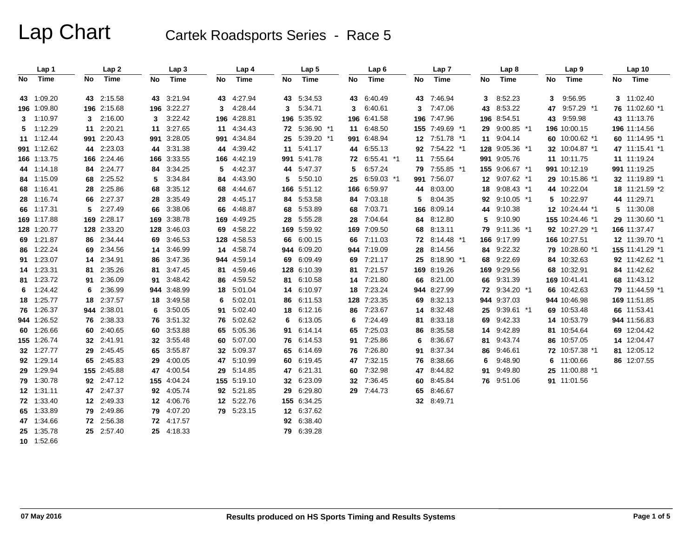|     | Lap 1       |    | Lap <sub>2</sub> |     | Lap <sub>3</sub> |     | Lap 4       |     | Lap <sub>5</sub> |    | Lap <sub>6</sub> |    | Lap <sub>7</sub> |     | Lap <sub>8</sub> | Lap <sub>9</sub> |    | Lap 10          |
|-----|-------------|----|------------------|-----|------------------|-----|-------------|-----|------------------|----|------------------|----|------------------|-----|------------------|------------------|----|-----------------|
| No. | Time        | No | Time             | No  | Time             | No  | Time        | No. | Time             | No | Time             | No | Time             | No  | Time             | Time<br>No       | No | Time            |
|     | 43 1:09.20  |    | 43 2:15.58       | 43  | 3:21.94          | 43  | 4:27.94     | 43  | 5:34.53          | 43 | 6:40.49          | 43 | 7:46.94          | 3   | 8:52.23          | 9.56.95<br>3     |    | 3 11:02.40      |
|     | 196 1:09.80 |    | 196 2:15.68      |     | 196 3:22.27      | 3   | 4:28.44     | 3   | 5:34.71          | 3  | 6:40.61          | 3  | 7:47.06          | 43  | 8:53.22          | 9:57.29 *1<br>47 |    | 76 11:02.60 *1  |
|     | 3 1:10.97   | 3  | 2:16.00          | 3   | 3:22.42          | 196 | 4:28.81     |     | 196 5:35.92      |    | 196 6:41.58      |    | 196 7:47.96      | 196 | 8:54.51          | 9:59.98<br>43    |    | 43 11:13.76     |
|     | 5 1:12.29   | 11 | 2:20.21          | 11  | 3.27.65          | 11  | 4:34.43     |     | 72 5:36.90 *1    |    | 11 6:48.50       |    | 155 7:49.69 *1   | 29  | $9:00.85$ *1     | 196 10:00.15     |    | 196 11:14.56    |
|     | 11 1:12.44  |    | 991 2:20.43      | 991 | 3:28.05          | 991 | 4:34.84     | 25  | 5:39.20 *1       |    | 991 6:48.94      |    | 12 7:51.78 *1    | 11  | 9:04.14          | 60 10:00.62 *1   |    | 60 11:14.95 *1  |
|     | 991 1:12.62 |    | 44 2:23.03       | 44  | 3:31.38          | 44  | 4:39.42     |     | 11 5:41.17       |    | 44 6:55.13       |    | 92 7:54.22 *1    |     | 128 9:05.36 *1   | 32 10:04.87 *1   |    | 47 11:15.41 *1  |
|     | 166 1:13.75 |    | 166 2:24.46      | 166 | 3:33.55          | 166 | 4:42.19     | 991 | 5:41.78          | 72 | 6:55.41 *1       | 11 | 7:55.64          |     | 991 9:05.76      | 11 10:11.75      |    | 11 11:19.24     |
|     | 44 1:14.18  |    | 84 2:24.77       | 84  | 3:34.25          | 5   | 4:42.37     |     | 44 5:47.37       | 5  | 6:57.24          |    | 79 7:55.85 *1    |     | 155 9:06.67 *1   | 991 10:12.19     |    | 991 11:19.25    |
|     | 84 1:15.09  |    | 68 2:25.52       | 5   | 3:34.84          | 84  | 4:43.90     | 5.  | 5:50.10          | 25 | 6:59.03 *1       |    | 991 7:56.07      | 12  | $9:07.62$ *1     | 29 10:15.86 *1   |    | 32 11:19.89 *1  |
|     | 68 1:16.41  |    | 28 2:25.86       | 68  | 3:35.12          | 68  | 4:44.67     |     | 166 5:51.12      |    | 166 6:59.97      |    | 44 8:03.00       | 18  | $9:08.43$ *1     | 44 10:22.04      |    | 18 11:21.59 *2  |
|     | 28 1:16.74  |    | 66 2:27.37       | 28  | 3:35.49          | 28  | 4:45.17     |     | 84 5:53.58       | 84 | 7:03.18          | 5  | 8:04.35          | 92  | $9:10.05$ *1     | 10:22.97<br>5    |    | 44 11:29.71     |
|     | 66 1:17.31  | 5  | 2:27.49          | 66  | 3:38.06          | 66  | 4:48.87     | 68  | 5:53.89          | 68 | 7:03.71          |    | 166 8:09.14      | 44  | 9:10.38          | 12 10:24.44 *1   |    | 5 11:30.08      |
|     | 169 1:17.88 |    | 169 2:28.17      |     | 169 3:38.78      | 169 | 4:49.25     | 28  | 5:55.28          | 28 | 7:04.64          |    | 84 8:12.80       | 5   | 9:10.90          | 155 10:24.46 *1  |    | 29 11:30.60 *1  |
|     | 128 1:20.77 |    | 128 2:33.20      |     | 128 3:46.03      | 69  | 4:58.22     |     | 169 5:59.92      |    | 169 7:09.50      |    | 68 8:13.11       | 79  | 9:11.36 *1       | 92 10:27.29 *1   |    | 166 11:37.47    |
|     | 69 1:21.87  |    | 86 2:34.44       | 69  | 3:46.53          | 128 | 4:58.53     | 66  | 6:00.15          | 66 | 7:11.03          |    | 72 8:14.48 *1    | 166 | 9:17.99          | 166 10:27.51     |    | 12 11:39.70 *1  |
|     | 86 1:22.24  |    | 69 2:34.56       | 14  | 3.46.99          | 14  | 4:58.74     |     | 944 6:09.20      |    | 944 7:19.09      |    | 28 8:14.56       | 84  | 9:22.32          | 79 10:28.60 *1   |    | 155 11:41.29 *1 |
|     | 91 1:23.07  |    | 14 2:34.91       | 86  | 3:47.36          | 944 | 4:59.14     | 69  | 6:09.49          |    | 69 7:21.17       |    | 25 8:18.90 *1    | 68  | 9:22.69          | 84 10:32.63      |    | 92 11:42.62 *1  |
|     | 14 1:23.31  | 81 | 2:35.26          | 81  | 3:47.45          | 81  | 4:59.46     |     | 128 6:10.39      |    | 81 7:21.57       |    | 169 8:19.26      |     | 169 9:29.56      | 68 10:32.91      |    | 84 11:42.62     |
|     | 81 1:23.72  | 91 | 2:36.09          | 91  | 3:48.42          | 86  | 4:59.52     |     | 81 6:10.58       |    | 14 7:21.80       |    | 66 8:21.00       | 66  | 9:31.39          | 169 10:41.41     |    | 68 11:43.12     |
|     | $6$ 1:24.42 | 6  | 2:36.99          | 944 | 3:48.99          | 18  | 5:01.04     |     | 14 6:10.97       |    | 18 7:23.24       |    | 944 8:27.99      | 72  | 9:34.20 *1       | 66 10:42.63      |    | 79 11:44.59 *1  |
|     | 18 1:25.77  |    | 18 2:37.57       | 18  | 3:49.58          | 6   | 5:02.01     | 86  | 6:11.53          |    | 128 7:23.35      |    | 69 8:32.13       |     | 944 9:37.03      | 944 10:46.98     |    | 169 11:51.85    |
|     | 76 1:26.37  |    | 944 2:38.01      | 6   | 3:50.05          | 91  | 5:02.40     | 18  | 6:12.16          |    | 86 7:23.67       |    | 14 8:32.48       | 25  | 9:39.61 *1       | 69 10:53.48      |    | 66 11:53.41     |
|     | 944 1:26.52 |    | 76 2:38.33       | 76  | 3:51.32          | 76  | 5:02.62     | 6   | 6:13.05          | 6  | 7:24.49          | 81 | 8:33.18          | 69  | 9:42.33          | 14 10:53.79      |    | 944 11:56.83    |
|     | 60 1:26.66  |    | 60 2:40.65       | 60  | 3:53.88          | 65  | 5:05.36     | 91  | 6.14.14          |    | 65 7:25.03       | 86 | 8:35.58          | 14  | 9:42.89          | 81 10:54.64      |    | 69 12:04.42     |
|     | 155 1:26.74 |    | 32 2:41.91       | 32  | 3:55.48          | 60  | 5:07.00     |     | 76 6:14.53       |    | 91 7:25.86       | 6  | 8:36.67          | 81  | 9:43.74          | 86 10:57.05      |    | 14 12:04.47     |
|     | 32 1:27.77  |    | 29 2:45.45       | 65  | 3:55.87          | 32  | 5:09.37     | 65  | 6:14.69          |    | 76 7:26.80       | 91 | 8:37.34          | 86  | 9:46.61          | 72 10:57.38 *1   |    | 81 12:05.12     |
|     | 92 1:29.14  |    | 65 2:45.83       | 29  | 4:00.05          | 47  | 5:10.99     | 60  | 6:19.45          |    | 47 7:32.15       |    | 76 8:38.66       | 6   | 9:48.90          | 11:00.66<br>6    |    | 86 12:07.55     |
|     | 29 1:29.94  |    | 155 2:45.88      | 47  | 4:00.54          | 29  | 5:14.85     | 47  | 6:21.31          |    | 60 7:32.98       |    | 47 8:44.82       | 91  | 9:49.80          | 25 11:00.88 *1   |    |                 |
|     | 79 1:30.78  |    | 92 2:47.12       |     | 155 4:04.24      |     | 155 5:19.10 | 32  | 6:23.09          |    | 32 7:36.45       |    | 60 8:45.84       |     | 76 9:51.06       | 91 11:01.56      |    |                 |
|     | 12 1:31.11  |    | 47 2:47.37       | 92  | 4:05.74          | 92  | 5:21.85     | 29  | 6:29.80          |    | 29 7:44.73       |    | 65 8:46.67       |     |                  |                  |    |                 |
|     | 72 1:33.40  |    | 12 2:49.33       |     | 12 4:06.76       | 12  | 5:22.76     |     | 155 6:34.25      |    |                  |    | 32 8:49.71       |     |                  |                  |    |                 |
|     | 65 1:33.89  |    | 79 2:49.86       | 79. | 4:07.20          |     | 79 5:23.15  |     | 12 6:37.62       |    |                  |    |                  |     |                  |                  |    |                 |
|     | 47 1:34.66  |    | 72 2:56.38       |     | 72 4:17.57       |     |             |     | 92 6:38.40       |    |                  |    |                  |     |                  |                  |    |                 |
|     | 25 1:35.78  |    | 25 2:57.40       |     | 25 4:18.33       |     |             |     | 79 6:39.28       |    |                  |    |                  |     |                  |                  |    |                 |
|     | 10 1:52.66  |    |                  |     |                  |     |             |     |                  |    |                  |    |                  |     |                  |                  |    |                 |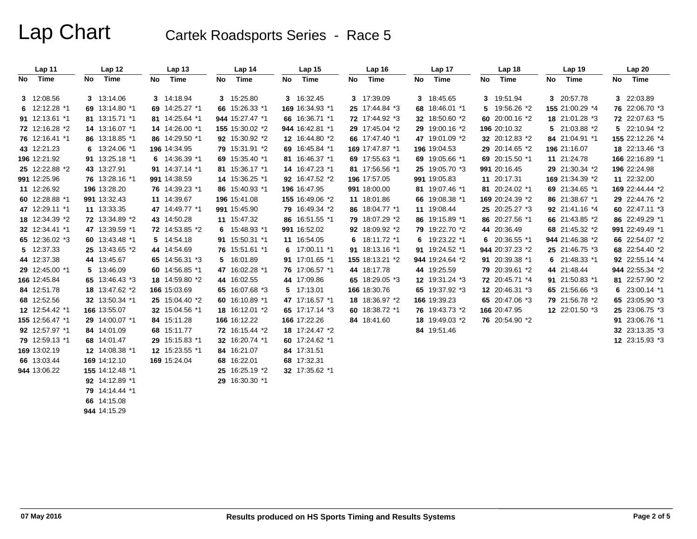| Lap 11          |    | Lap 12          | Lap <sub>13</sub> |    | Lap <sub>14</sub> | Lap 15          |    | Lap <sub>16</sub> | Lap 17          |    | Lap 18          |    | Lap 19          | Lap 20          |
|-----------------|----|-----------------|-------------------|----|-------------------|-----------------|----|-------------------|-----------------|----|-----------------|----|-----------------|-----------------|
| No Time         | No | Time            | No Time           | No | Time              | No Time         | No | Time              | No Time         | No | Time            |    | No Time         | No Time         |
| 3 12:08.56      |    | 3 13:14.06      | 3 14:18.94        |    | 3 15:25.80        | 3 16:32.45      |    | 3 17:39.09        | 3 18:45.65      |    | 3 19:51.94      |    | 3 20:57.78      | 3 22:03.89      |
| 6 $12:12.28$ *1 |    | 69 13:14.80 *1  | 69 14:25.27 *1    |    | 66 15:26.33 *1    | 169 16:34.93 *1 |    | 25 17:44.84 *3    | 68 18:46.01 *1  |    | 5 19:56.26 *2   |    | 155 21:00.29 *4 | 76 22:06.70 *3  |
| 91 12:13.61 *1  |    | 81 13:15.71 *1  | 81 14:25.64 *1    |    | 944 15:27.47 *1   | 66 16:36.71 *1  |    | 72 17:44.92 *3    | 32 18:50.60 *2  |    | 60 20:00.16 *2  |    | 18 21:01.28 *3  | 72 22:07.63 *5  |
| 72 12:16.28 *2  |    | 14 13:16.07 *1  | 14 14:26.00 *1    |    | 155 15:30.02 *2   | 944 16:42.81 *1 |    | 29 17:45.04 *2    | 29 19:00.16 *2  |    | 196 20:10.32    |    | 5 21:03.88 *2   | 5 22:10.94 *2   |
| 76 12:16.41 *1  |    | 86 13:18.85 *1  | 86 14:29.50 *1    |    | 92 15:30.92 *2    | 12 16:44.80 *2  |    | 66 17:47.40 *1    | 47 19:01.09 *2  |    | 32 20:12.83 *2  |    | 84 21:04.91 *1  | 155 22:12.26 *4 |
| 43 12:21.23     |    | 6 13:24.06 *1   | 196 14:34.95      |    | 79 15:31.91 *2    | 69 16:45.84 *1  |    | 169 17:47.87 *1   | 196 19:04.53    |    | 29 20:14.65 *2  |    | 196 21:16.07    | 18 22:13.46 *3  |
| 196 12:21.92    |    | 91 13:25.18 *1  | 6 $14:36.39$ *1   |    | 69 15:35.40 *1    | 81 16:46.37 *1  |    | 69 17:55.63 *1    | 69 19:05.66 *1  |    | 69 20:15.50 *1  |    | 11 21:24.78     | 166 22:16.89 *1 |
| 25 12:22.88 *2  |    | 43 13:27.91     | 91 14:37.14 *1    |    | 81 15:36.17 *1    | 14 16:47.23 *1  |    | 81 17:56.56 *1    | 25 19:05.70 *3  |    | 991 20:16.45    |    | 29 21:30.34 *2  | 196 22:24.98    |
| 991 12:25.96    |    | 76 13:28.16 *1  | 991 14:38.59      |    | 14 15:36.25 *1    | 92 16:47.52 *2  |    | 196 17:57.05      | 991 19:05.83    |    | 11 20:17.31     |    | 169 21:34.39 *2 | 11 22:32.00     |
| 11 12:26.92     |    | 196 13:28.20    | 76 14:39.23 *1    |    | 86 15:40.93 *1    | 196 16:47.95    |    | 991 18:00.00      | 81 19:07.46 *1  |    | 81 20:24.02 *1  |    | 69 21:34.65 *1  | 169 22:44.44 *2 |
| 60 12:28.88 *1  |    | 991 13:32.43    | 11 14:39.67       |    | 196 15:41.08      | 155 16:49.06 *2 |    | 11 18:01.86       | 66 19:08.38 *1  |    | 169 20:24.39 *2 |    | 86 21:38.67 *1  | 29 22:44.76 *2  |
| 47 12:29.11 *1  |    | 11 13:33.35     | 47 14:49.77 *1    |    | 991 15:45.90      | 79 16:49.34 *2  |    | 86 18:04.77 *1    | 11 19:08.44     |    | 25 20:25.27 *3  |    | 92 21:41.16 *4  | 60 22:47.11 *3  |
| 18 12:34.39 *2  |    | 72 13:34.89 *2  | 43 14:50.28       |    | 11 15:47.32       | 86 16:51.55 *1  |    | 79 18:07.29 *2    | 86 19:15.89 *1  |    | 86 20:27.56 *1  |    | 66 21:43.85 *2  | 86 22:49.29 *1  |
| 32 12:34.41 *1  |    | 47 13:39.59 *1  | 72 14:53.85 *2    |    | 6 $15:48.93*1$    | 991 16:52.02    |    | 92 18:09.92 *2    | 79 19:22.70 *2  |    | 44 20:36.49     |    | 68 21:45.32 *2  | 991 22:49.49 *1 |
| 65 12:36.02 *3  |    | 60 13:43.48 *1  | 5 14:54.18        |    | 91 15:50.31 *1    | 11 16:54.05     |    | 6 18:11.72 *1     | 6 19:23.22 *1   |    | 6 20:36.55 *1   |    | 944 21:46.38 *2 | 66 22:54.07 *2  |
| 5 12:37.33      |    | 25 13:43.65 *2  | 44 14:54.69       |    | 76 15:51.61 *1    | 6 17:00.11 *1   |    | 91 18:13.16 *1    | 91 19:24.52 *1  |    | 944 20:37.23 *2 |    | 25 21:46.75 *3  | 68 22:54.40 *2  |
| 44 12:37.38     |    | 44 13:45.67     | 65 14:56.31 *3    |    | 5 16:01.89        | 91 17:01.65 *1  |    | 155 18:13.21 *2   | 944 19:24.64 *2 |    | 91 20:39.38 *1  | 6  | 21:48.33 *1     | 92 22:55.14 *4  |
| 29 12:45.00 *1  |    | 5 13:46.09      | 60 14:56.85 *1    |    | 47 16:02.28 *1    | 76 17:06.57 *1  |    | 44 18:17.78       | 44 19:25.59     |    | 79 20:39.61 *2  | 44 | 21:48.44        | 944 22:55.34 *2 |
| 166 12:45.84    |    | 65 13:46.43 *3  | 18 14:59.80 *2    |    | 44 16:02.55       | 44 17:09.86     |    | 65 18:29.05 *3    | 12 19:31.24 *3  |    | 72 20:45.71 *4  |    | 91 21:50.83 *1  | 81 22:57.90 *2  |
| 84 12:51.78     |    | 18 13:47.62 *2  | 166 15:03.69      |    | 65 16:07.68 *3    | 5 17:13.01      |    | 166 18:30.76      | 65 19:37.92 *3  |    | 12 20:46.31 *3  |    | 65 21:56.66 *3  | 6 23:00.14 *1   |
| 68 12:52.56     |    | 32 13:50.34 *1  | 25 15:04.40 *2    |    | 60 16:10.89 *1    | 47 17:16.57 *1  |    | 18 18:36.97 *2    | 166 19:39.23    |    | 65 20:47.06 *3  |    | 79 21:56.78 *2  | 65 23:05.90 *3  |
| 12 12:54.42 *1  |    | 166 13:55.07    | 32 15:04.56 *1    |    | 18 16:12.01 *2    | 65 17:17.14 *3  |    | 60 18:38.72 *1    | 76 19:43.73 *2  |    | 166 20:47.95    |    | 12 22:01.50 *3  | 25 23:06.75 *3  |
| 155 12:56.47 *1 |    | 29 14:00.07 *1  | 84 15:11.28       |    | 166 16:12.22      | 166 17:22.26    |    | 84 18:41.60       | 18 19:49.03 *2  |    | 76 20:54.90 *2  |    |                 | 91 23:06.76 *1  |
| 92 12:57.97 *1  |    | 84 14:01.09     | 68 15:11.77       |    | 72 16:15.44 *2    | 18 17:24.47 *2  |    |                   | 84 19:51.46     |    |                 |    |                 | 32 23:13.35 *3  |
| 79 12:59.13 *1  |    | 68 14:01.47     | 29 15:15.83 *1    |    | 32 16:20.74 *1    | 60 17:24.62 *1  |    |                   |                 |    |                 |    |                 | 12 23:15.93 *3  |
| 169 13:02.19    |    | 12 14:08.38 *1  | 12 15:23.55 *1    |    | 84 16:21.07       | 84 17:31.51     |    |                   |                 |    |                 |    |                 |                 |
| 66 13:03.44     |    | 169 14:12.10    | 169 15:24.04      |    | 68 16:22.01       | 68 17:32.31     |    |                   |                 |    |                 |    |                 |                 |
| 944 13:06.22    |    | 155 14:12.48 *1 |                   |    | 25 16:25.19 *2    | 32 17:35.62 *1  |    |                   |                 |    |                 |    |                 |                 |
|                 |    | 92 14:12.89 *1  |                   |    | 29 16:30.30 *1    |                 |    |                   |                 |    |                 |    |                 |                 |
|                 |    | 79 14:14.44 *1  |                   |    |                   |                 |    |                   |                 |    |                 |    |                 |                 |
|                 |    | 66 14:15.08     |                   |    |                   |                 |    |                   |                 |    |                 |    |                 |                 |
|                 |    | 944 14:15.29    |                   |    |                   |                 |    |                   |                 |    |                 |    |                 |                 |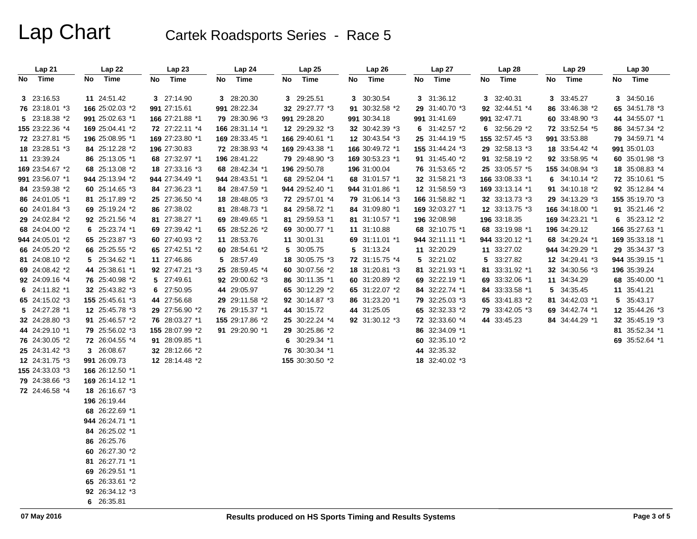| Lap 21          | Lap 22          | Lap23           | Lap24           | Lap25           | Lap 26          | Lap 27          | Lap 28          | Lap 29          | Lap 30          |
|-----------------|-----------------|-----------------|-----------------|-----------------|-----------------|-----------------|-----------------|-----------------|-----------------|
| No Time         | Time<br>No      | Time<br>No      | No Time         | Time<br>No      | No Time         | Time<br>No      | No<br>Time      | No<br>Time      | No Time         |
|                 |                 |                 |                 |                 |                 |                 |                 |                 |                 |
| 3 23:16.53      | 11 24:51.42     | 3 27:14.90      | 3 28:20.30      | 3 29:25.51      | 3 30:30.54      | 3 31:36.12      | 3 32:40.31      | 3 33:45.27      | 3 34:50.16      |
| 76 23:18.01 *3  | 166 25:02.03 *2 | 991 27:15.61    | 991 28:22.34    | 32 29:27.77 *3  | 91 30:32.58 *2  | 29 31:40.70 *3  | 92 32:44.51 *4  | 86 33:46.38 *2  | 65 34:51.78 *3  |
| 5 23:18.38 *2   | 991 25:02.63 *1 | 166 27:21.88 *1 | 79 28:30.96 *3  | 991 29:28.20    | 991 30:34.18    | 991 31:41.69    | 991 32:47.71    | 60 33:48.90 *3  | 44 34:55.07 *1  |
| 155 23:22.36 *4 | 169 25:04.41 *2 | 72 27:22.11 *4  | 166 28:31.14 *1 | 12 29:29.32 *3  | 32 30:42.39 *3  | 6 31:42.57 *2   | 6 32:56.29 *2   | 72 33:52.54 *5  | 86 34:57.34 *2  |
| 72 23:27.81 *5  | 196 25:08.95 *1 | 169 27:23.80 *1 | 169 28:33.45 *1 | 166 29:40.61 *1 | 12 30:43.54 *3  | 25 31:44.19 *5  | 155 32:57.45 *3 | 991 33:53.88    | 79 34:59.71 *4  |
| 18 23:28.51 *3  | 84 25:12.28 *2  | 196 27:30.83    | 72 28:38.93 *4  | 169 29:43.38 *1 | 166 30:49.72 *1 | 155 31:44.24 *3 | 29 32:58.13 *3  | 18 33:54.42 *4  | 991 35:01.03    |
| 11 23:39.24     | 86 25:13.05 *1  | 68 27:32.97 *1  | 196 28:41.22    | 79 29:48.90 *3  | 169 30:53.23 *1 | 91 31:45.40 *2  | 91 32:58.19 *2  | 92 33:58.95 *4  | 60 35:01.98 *3  |
| 169 23:54.67 *2 | 68 25:13.08 *2  | 18 27:33.16 *3  | 68 28:42.34 *1  | 196 29:50.78    | 196 31:00.04    | 76 31:53.65 *2  | 25 33:05.57 *5  | 155 34:08.94 *3 | 18 35:08.83 *4  |
| 991 23:56.07 *1 | 944 25:13.94 *2 | 944 27:34.49 *1 | 944 28:43.51 *1 | 68 29:52.04 *1  | 68 31:01.57 *1  | 32 31:58.21 *3  | 166 33:08.33 *1 | 6 $34:10.14 *2$ | 72 35:10.61 *5  |
| 84 23:59.38 *2  | 60 25:14.65 *3  | 84 27:36.23 *1  | 84 28:47.59 *1  | 944 29:52.40 *1 | 944 31:01.86 *1 | 12 31:58.59 *3  | 169 33:13.14 *1 | 91 34:10.18 *2  | 92 35:12.84 *4  |
| 86 24:01.05 *1  | 81 25:17.89 *2  | 25 27:36.50 *4  | 18 28:48.05 *3  | 72 29:57.01 *4  | 79 31:06.14 *3  | 166 31:58.82 *1 | 32 33:13.73 *3  | 29 34:13.29 *3  | 155 35:19.70 *3 |
| 60 24:01.84 *3  | 69 25:19.24 *2  | 86 27:38.02     | 81 28:48.73 *1  | 84 29:58.72 *1  | 84 31:09.80 *1  | 169 32:03.27 *1 | 12 33:13.75 *3  | 166 34:18.00 *1 | 91 35:21.46 *2  |
| 29 24:02.84 *2  | 92 25:21.56 *4  | 81 27:38.27 *1  | 69 28:49.65 *1  | 81 29:59.53 *1  | 81 31:10.57 *1  | 196 32:08.98    | 196 33:18.35    | 169 34:23.21 *1 | 6 $35:23.12 *2$ |
| 68 24:04.00 *2  | 6 25:23.74 *1   | 69 27:39.42 *1  | 65 28:52.26 *2  | 69 30:00.77 *1  | 11 31:10.88     | 68 32:10.75 *1  | 68 33:19.98 *1  | 196 34:29.12    | 166 35:27.63 *1 |
| 944 24:05.01 *2 | 65 25:23.87 *3  | 60 27:40.93 *2  | 11 28:53.76     | 11 30:01.31     | 69 31:11.01 *1  | 944 32:11.11 *1 | 944 33:20.12 *1 | 68 34:29.24 *1  | 169 35:33.18 *1 |
| 66 24:05.20 *2  | 66 25:25.55 *2  | 65 27:42.51 *2  | 60 28:54.61 *2  | 5 30:05.75      | 5 31:13.24      | 11 32:20.29     | 11 33:27.02     | 944 34:29.29 *1 | 29 35:34.37 *3  |
| 81 24:08.10 *2  | 5 25:34.62 *1   | 11 27:46.86     | 5 28:57.49      | 18 30:05.75 *3  | 72 31:15.75 *4  | 5 32:21.02      | 5 33:27.82      | 12 34:29.41 *3  | 944 35:39.15 *1 |
| 69 24:08.42 *2  | 44 25:38.61 *1  | 92 27:47.21 *3  | 25 28:59.45 *4  | 60 30:07.56 *2  | 18 31:20.81 *3  | 81 32:21.93 *1  | 81 33:31.92 *1  | 32 34:30.56 *3  | 196 35:39.24    |
| 92 24:09.16 *4  | 76 25:40.98 *2  | 5 27:49.61      | 92 29:00.62 *3  | 86 30:11.35 *1  | 60 31:20.89 *2  | 69 32:22.19 *1  | 69 33:32.06 *1  | 11 34:34.29     | 68 35:40.00 *1  |
| 6 24:11.82 *1   | 32 25:43.82 *3  | 6 27:50.95      | 44 29:05.97     | 65 30:12.29 *2  | 65 31:22.07 *2  | 84 32:22.74 *1  | 84 33:33.58 *1  | 5 34:35.45      | 11 35:41.21     |
| 65 24:15.02 *3  | 155 25:45.61 *3 | 44 27:56.68     | 29 29:11.58 *2  | 92 30:14.87 *3  | 86 31:23.20 *1  | 79 32:25.03 *3  | 65 33:41.83 *2  | 81 34:42.03 *1  | 5 35:43.17      |
| 5 24:27.28 *1   | 12 25:45.78 *3  | 29 27:56.90 *2  | 76 29:15.37 *1  | 44 30:15.72     | 44 31:25.05     | 65 32:32.33 *2  | 79 33:42.05 *3  | 69 34:42.74 *1  | 12 35:44.26 *3  |
| 32 24:28.80 *3  | 91 25:46.57 *2  | 76 28:03.27 *1  | 155 29:17.86 *2 | 25 30:22.24 *4  | 92 31:30.12 *3  | 72 32:33.60 *4  | 44 33:45.23     | 84 34:44.29 *1  | 32 35:45.19 *3  |
| 44 24:29.10 *1  | 79 25:56.02 *3  | 155 28:07.99 *2 | 91 29:20.90 *1  | 29 30:25.86 *2  |                 | 86 32:34.09 *1  |                 |                 | 81 35:52.34 *1  |
| 76 24:30.05 *2  | 72 26:04.55 *4  | 91 28:09.85 *1  |                 | 6 30:29.34 *1   |                 | 60 32:35.10 *2  |                 |                 | 69 35:52.64 *1  |
| 25 24:31.42 *3  | 3 26:08.67      | 32 28:12.66 *2  |                 | 76 30:30.34 *1  |                 | 44 32:35.32     |                 |                 |                 |
| 12 24:31.75 *3  | 991 26:09.73    | 12 28:14.48 *2  |                 | 155 30:30.50 *2 |                 | 18 32:40.02 *3  |                 |                 |                 |
| 155 24:33.03 *3 | 166 26:12.50 *1 |                 |                 |                 |                 |                 |                 |                 |                 |
| 79 24:38.66 *3  | 169 26:14.12 *1 |                 |                 |                 |                 |                 |                 |                 |                 |
| 72 24:46.58 *4  | 18 26:16.67 *3  |                 |                 |                 |                 |                 |                 |                 |                 |
|                 | 196 26:19.44    |                 |                 |                 |                 |                 |                 |                 |                 |
|                 | 68 26:22.69 *1  |                 |                 |                 |                 |                 |                 |                 |                 |
|                 | 944 26:24.71 *1 |                 |                 |                 |                 |                 |                 |                 |                 |
|                 | 84 26:25.02 *1  |                 |                 |                 |                 |                 |                 |                 |                 |
|                 | 86 26:25.76     |                 |                 |                 |                 |                 |                 |                 |                 |
|                 | 60 26:27.30 *2  |                 |                 |                 |                 |                 |                 |                 |                 |
|                 | 81 26:27.71 *1  |                 |                 |                 |                 |                 |                 |                 |                 |
|                 | 69 26:29.51 *1  |                 |                 |                 |                 |                 |                 |                 |                 |
|                 | 65 26:33.61 *2  |                 |                 |                 |                 |                 |                 |                 |                 |
|                 | 92 26:34.12 *3  |                 |                 |                 |                 |                 |                 |                 |                 |
|                 | 6 26:35.81      |                 |                 |                 |                 |                 |                 |                 |                 |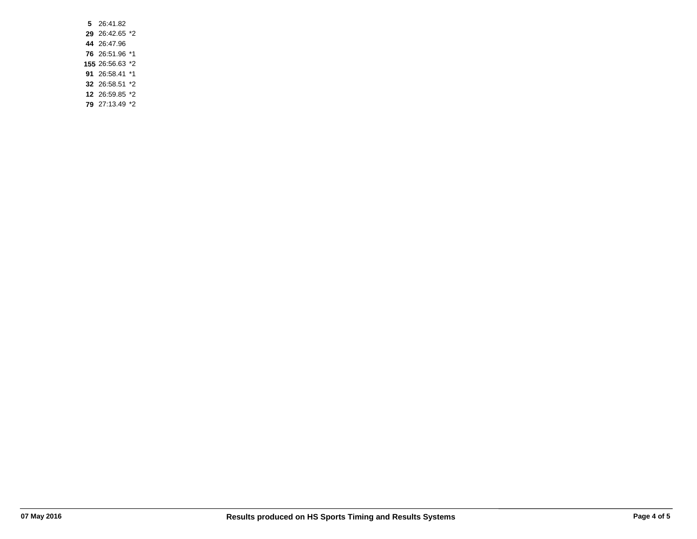**5** 26:41.82 26:42.65 \*2 26:47.96 26:51.96 \*1 26:56.63 \*2 26:58.41 \*1 26:58.51 \*2 26:59.85 \*2 27:13.49 \*2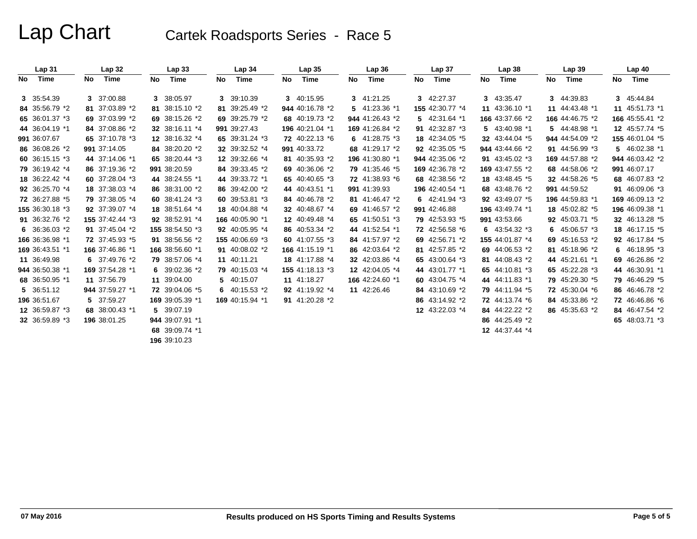|     | Lap <sub>31</sub> |     | Lap <sub>32</sub> |     | Lap33           |    | Lap <sub>34</sub> |    | Lap <sub>35</sub> |     | Lap36           |    | Lap 37          |    | Lap <sub>38</sub> |     | Lap <sub>39</sub> |    | Lap40           |
|-----|-------------------|-----|-------------------|-----|-----------------|----|-------------------|----|-------------------|-----|-----------------|----|-----------------|----|-------------------|-----|-------------------|----|-----------------|
| No. | Time              | No. | Time              | No. | Time            | No | Time              | No | Time              | No. | Time            | No | Time            | No | Time              | No. | Time              | No | Time            |
|     |                   |     |                   |     |                 |    |                   |    |                   |     |                 |    |                 |    |                   |     |                   |    |                 |
|     | 3 35:54.39        |     | 3 37:00.88        |     | 3 38:05.97      |    | 3 39:10.39        |    | 3 40:15.95        |     | 3 41:21.25      |    | 3 42:27.37      |    | 3 43:35.47        |     | 3 44:39.83        |    | 3 45:44.84      |
|     | 84 35:56.79 *2    |     | 81 37:03.89 *2    |     | 81 38:15.10 *2  |    | 81 39:25.49 *2    |    | 944 40:16.78 *2   |     | 5 41:23.36 *1   |    | 155 42:30.77 *4 |    | 11 43:36.10 *1    |     | 11 44:43.48 *1    |    | 11 45:51.73 *1  |
|     | 65 36:01.37 *3    |     | 69 37:03.99 *2    |     | 69 38:15.26 *2  |    | 69 39:25.79 *2    |    | 68 40:19.73 *2    |     | 944 41:26.43 *2 |    | 5 42:31.64 *1   |    | 166 43:37.66 *2   |     | 166 44:46.75 *2   |    | 166 45:55.41 *2 |
|     | 44 36:04.19 *1    |     | 84 37:08.86 *2    |     | 32 38:16.11 *4  |    | 991 39:27.43      |    | 196 40:21.04 *1   |     | 169 41:26.84 *2 |    | 91 42:32.87 *3  |    | 5 43:40.98 *1     |     | 5 44:48.98 *1     |    | 12 45:57.74 *5  |
|     | 991 36:07.67      |     | 65 37:10.78 *3    |     | 12 38:16.32 *4  |    | 65 39:31.24 *3    |    | 72 40:22.13 *6    |     | 6 $41:28.75*3$  |    | 18 42:34.05 *5  |    | 32 43:44.04 *5    |     | 944 44:54.09 *2   |    | 155 46:01.04 *5 |
|     | 86 36:08.26 *2    |     | 991 37:14.05      |     | 84 38:20.20 *2  |    | 32 39:32.52 *4    |    | 991 40:33.72      |     | 68 41:29.17 *2  |    | 92 42:35.05 *5  |    | 944 43:44.66 *2   |     | 91 44:56.99 *3    |    | 5 46:02.38 *1   |
|     | 60 36:15.15 *3    |     | 44 37:14.06 *1    |     | 65 38:20.44 *3  |    | 12 39:32.66 *4    |    | 81 40:35.93 *2    |     | 196 41:30.80 *1 |    | 944 42:35.06 *2 |    | 91 43:45.02 *3    |     | 169 44:57.88 *2   |    | 944 46:03.42 *2 |
|     | 79 36:19.42 *4    |     | 86 37:19.36 *2    |     | 991 38:20.59    |    | 84 39:33.45 *2    |    | 69 40:36.06 *2    |     | 79 41:35.46 *5  |    | 169 42:36.78 *2 |    | 169 43:47.55 *2   |     | 68 44:58.06 *2    |    | 991 46:07.17    |
|     | 18 36:22.42 *4    |     | 60 37:28.04 *3    |     | 44 38:24.55 *1  |    | 44 39:33.72 *1    |    | 65 40:40.65 *3    |     | 72 41:38.93 *6  |    | 68 42:38.56 *2  |    | 18 43:48.45 *5    |     | 32 44:58.26 *5    |    | 68 46:07.83 *2  |
|     | 92 36:25.70 *4    |     | 18 37:38.03 *4    |     | 86 38:31.00 *2  |    | 86 39:42.00 *2    |    | 44 40:43.51 *1    |     | 991 41:39.93    |    | 196 42:40.54 *1 |    | 68 43:48.76 *2    |     | 991 44:59.52      |    | 91 46:09.06 *3  |
|     | 72 36:27.88 *5    |     | 79 37:38.05 *4    |     | 60 38:41.24 *3  |    | 60 39:53.81 *3    |    | 84 40:46.78 *2    |     | 81 41:46.47 *2  |    | 6 $42:41.94*3$  |    | 92 43:49.07 *5    |     | 196 44:59.83 *1   |    | 169 46:09.13 *2 |
|     | 155 36:30.18 *3   |     | 92 37:39.07 *4    |     | 18 38:51.64 *4  |    | 18 40:04.88 *4    |    | 32 40:48.67 *4    |     | 69 41:46.57 *2  |    | 991 42:46.88    |    | 196 43:49.74 *1   |     | 18 45:02.82 *5    |    | 196 46:09.38 *1 |
|     | 91 36:32.76 *2    |     | 155 37:42.44 *3   |     | 92 38:52.91 *4  |    | 166 40:05.90 *1   |    | 12 40:49.48 *4    |     | 65 41:50.51 *3  |    | 79 42:53.93 *5  |    | 991 43:53.66      |     | 92 45:03.71 *5    |    | 32 46:13.28 *5  |
|     | 6 36:36.03 *2     |     | 91 37:45.04 *2    |     | 155 38:54.50 *3 |    | 92 40:05.95 *4    |    | 86 40:53.34 *2    |     | 44 41:52.54 *1  |    | 72 42:56.58 *6  |    | 6 $43:54.32*3$    | 6   | 45:06.57 *3       |    | 18 46:17.15 *5  |
|     | 166 36:36.98 *1   |     | 72 37:45.93 *5    |     | 91 38:56.56 *2  |    | 155 40:06.69 *3   |    | 60 41:07.55 *3    |     | 84 41:57.97 *2  |    | 69 42:56.71 *2  |    | 155 44:01.87 *4   |     | 69 45:16.53 *2    |    | 92 46:17.84 *5  |
|     | 169 36:43.51 *1   |     | 166 37:46.86 *1   |     | 166 38:56.60 *1 |    | 91 40:08.02 *2    |    | 166 41:15.19 *1   |     | 86 42:03.64 *2  |    | 81 42:57.85 *2  |    | 69 44:06.53 *2    |     | 81 45:18.96 *2    |    | 6 46:18.95 *3   |
|     | 11 36:49.98       |     | 6 37:49.76 *2     |     | 79 38:57.06 *4  |    | 11 40:11.21       |    | 18 41:17.88 *4    |     | 32 42:03.86 *4  |    | 65 43:00.64 *3  |    | 81 44:08.43 *2    |     | 44 45:21.61 *1    |    | 69 46:26.86 *2  |
|     | 944 36:50.38 *1   |     | 169 37:54.28 *1   |     | 6 39:02.36 $*2$ |    | 79 40:15.03 *4    |    | 155 41:18.13 *3   |     | 12 42:04.05 *4  |    | 44 43:01.77 *1  |    | 65 44:10.81 *3    |     | 65 45:22.28 *3    |    | 44 46:30.91 *1  |
|     | 68 36:50.95 *1    |     | 11 37:56.79       |     | 11 39:04.00     |    | 5 40:15.07        |    | 11 41:18.27       |     | 166 42:24.60 *1 |    | 60 43:04.75 *4  |    | 44 44:11.83 *1    |     | 79 45:29.30 *5    |    | 79 46:46.29 *5  |
|     | 5 36:51.12        |     | 944 37:59.27 *1   |     | 72 39:04.06 *5  |    | 6 $40:15.53*2$    |    | 92 41:19.92 *4    |     | 11 42:26.46     |    | 84 43:10.69 *2  |    | 79 44:11.94 *5    |     | 72 45:30.04 *6    |    | 86 46:46.78 *2  |
|     | 196 36:51.67      |     | 5 37:59.27        |     | 169 39:05.39 *1 |    | 169 40:15.94 *1   |    | 91 41:20.28 *2    |     |                 |    | 86 43:14.92 *2  |    | 72 44:13.74 *6    |     | 84 45:33.86 *2    |    | 72 46:46.86 *6  |
|     | 12 36:59.87 *3    |     | 68 38:00.43 *1    |     | 5 39:07.19      |    |                   |    |                   |     |                 |    | 12 43:22.03 *4  |    | 84 44:22.22 *2    |     | 86 45:35.63 *2    |    | 84 46:47.54 *2  |
|     | 32 36:59.89 *3    |     | 196 38:01.25      |     | 944 39:07.91 *1 |    |                   |    |                   |     |                 |    |                 |    | 86 44:25.49 *2    |     |                   |    | 65 48:03.71 *3  |
|     |                   |     |                   |     | 68 39:09.74 *1  |    |                   |    |                   |     |                 |    |                 |    | 12 44:37.44 *4    |     |                   |    |                 |
|     |                   |     |                   |     | 196 39:10.23    |    |                   |    |                   |     |                 |    |                 |    |                   |     |                   |    |                 |
|     |                   |     |                   |     |                 |    |                   |    |                   |     |                 |    |                 |    |                   |     |                   |    |                 |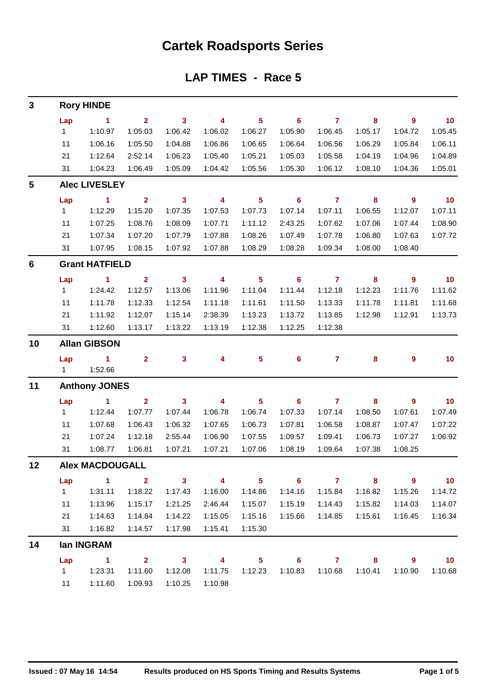## **Cartek Roadsports Series**

#### **LAP TIMES - Race 5**

| 3               |                       | <b>Rory HINDE</b>      |                |                         |                         |                            |         |                     |                         |                          |                          |  |  |  |  |  |  |  |
|-----------------|-----------------------|------------------------|----------------|-------------------------|-------------------------|----------------------------|---------|---------------------|-------------------------|--------------------------|--------------------------|--|--|--|--|--|--|--|
|                 | Lap                   | $\blacktriangleleft$   | $\overline{2}$ | $\mathbf{3}$            | 4                       | $5\phantom{1}$             | 6       | $\overline{7}$      | 8                       | 9                        | 10                       |  |  |  |  |  |  |  |
|                 | $\mathbf{1}$          | 1:10.97                | 1:05.03        | 1:06.42                 | 1:06.02                 | 1:06.27                    | 1:05.90 | 1:06.45             | 1:05.17                 | 1:04.72                  | 1:05.45                  |  |  |  |  |  |  |  |
|                 | 11                    | 1:06.16                | 1:05.50        | 1:04.88                 | 1:06.86                 | 1:06.65                    | 1:06.64 | 1:06.56             | 1:06.29                 | 1:05.84                  | 1:06.11                  |  |  |  |  |  |  |  |
|                 | 21                    | 1:12.64                | 2:52.14        | 1:06.23                 | 1:05.40                 | 1:05.21                    | 1:05.03 | 1:05.58             | 1:04.19                 | 1:04.96                  | 1:04.89                  |  |  |  |  |  |  |  |
|                 | 31                    | 1:04.23                | 1:06.49        | 1:05.09                 | 1:04.42                 | 1:05.56                    | 1:05.30 | 1:06.12             | 1:08.10                 | 1:04.36                  | 1:05.01                  |  |  |  |  |  |  |  |
| 5               | <b>Alec LIVESLEY</b>  |                        |                |                         |                         |                            |         |                     |                         |                          |                          |  |  |  |  |  |  |  |
|                 | Lap                   | $\sim$ 1               | $\overline{2}$ | $\overline{\mathbf{3}}$ | $\overline{4}$          | $5\phantom{1}$             | 6       | $\overline{7}$      | 8                       | 9                        | 10                       |  |  |  |  |  |  |  |
|                 | $\mathbf{1}$          | 1:12.29                | 1:15.20        | 1:07.35                 | 1:07.53                 | 1:07.73                    | 1:07.14 | 1:07.11             | 1:06.55                 | 1:12.07                  | 1:07.11                  |  |  |  |  |  |  |  |
|                 | 11                    | 1:07.25                | 1:08.76        | 1:08.09                 | 1:07.71                 | 1:11.12                    | 2:43.25 | 1:07.62             | 1:07.06                 | 1:07.44                  | 1:08.90                  |  |  |  |  |  |  |  |
|                 | 21                    | 1:07.34                | 1:07.20        | 1:07.79                 | 1:07.88                 | 1:08.26                    | 1:07.49 | 1:07.78             | 1:06.80                 | 1:07.63                  | 1:07.72                  |  |  |  |  |  |  |  |
|                 | 31                    | 1:07.95                | 1:08.15        | 1:07.92                 | 1:07.88                 | 1:08.29                    | 1:08.28 | 1:09.34             | 1:08.00                 | 1:08.40                  |                          |  |  |  |  |  |  |  |
| $6\phantom{1}6$ | <b>Grant HATFIELD</b> |                        |                |                         |                         |                            |         |                     |                         |                          |                          |  |  |  |  |  |  |  |
|                 | Lap                   | $\sim$ 1               | $\overline{2}$ | $\mathbf{3}$            | $\overline{4}$          | $\sqrt{5}$                 | 6       | $\overline{7}$      | 8                       | $\boldsymbol{9}$         | 10                       |  |  |  |  |  |  |  |
|                 | $\mathbf{1}$          | 1:24.42                | 1:12.57        | 1:13.06                 | 1:11.96                 | 1:11.04                    | 1:11.44 | 1:12.18             | 1:12.23                 | 1:11.76                  | 1:11.62                  |  |  |  |  |  |  |  |
|                 | 11                    | 1:11.78                | 1:12.33        | 1:12.54                 | 1:11.18                 | 1:11.61                    | 1:11.50 | 1:13.33             | 1:11.78                 | 1:11.81                  | 1:11.68                  |  |  |  |  |  |  |  |
|                 | 21                    | 1:11.92                | 1:12.07        | 1:15.14                 | 2:38.39                 | 1:13.23                    | 1:13.72 | 1:13.85             | 1:12.98                 | 1:12.91                  | 1:13.73                  |  |  |  |  |  |  |  |
|                 | 31                    | 1:12.60                | 1:13.17        | 1:13.22                 | 1:13.19                 | 1:12.38                    | 1:12.25 | 1:12.38             |                         |                          |                          |  |  |  |  |  |  |  |
| 10              | <b>Allan GIBSON</b>   |                        |                |                         |                         |                            |         |                     |                         |                          |                          |  |  |  |  |  |  |  |
|                 | Lap                   | $\blacksquare$ 1       | $\mathbf{2}$   | $\mathbf{3}$            | 4                       | $\overline{\mathbf{5}}$    | 6       | $\mathbf{7}$        | 8                       | $\boldsymbol{9}$         | 10                       |  |  |  |  |  |  |  |
|                 | 1.                    | 1:52.66                |                |                         |                         |                            |         |                     |                         |                          |                          |  |  |  |  |  |  |  |
| 11              | <b>Anthony JONES</b>  |                        |                |                         |                         |                            |         |                     |                         |                          |                          |  |  |  |  |  |  |  |
|                 | Lap                   | $\blacktriangleleft$   | $\mathbf{2}$   | $\mathbf{3}$            | $\overline{\mathbf{4}}$ | $\overline{\mathbf{5}}$    | 6       | $\overline{7}$      | 8                       | $\boldsymbol{9}$         | 10                       |  |  |  |  |  |  |  |
|                 | $\mathbf{1}$          | 1:12.44                | 1:07.77        | 1:07.44                 | 1:06.78                 | 1:06.74                    | 1:07.33 | 1:07.14             | 1:08.50                 | 1:07.61                  | 1:07.49                  |  |  |  |  |  |  |  |
|                 | 11                    | 1:07.68                | 1:06.43        | 1:06.32                 | 1:07.65                 | 1:06.73                    | 1:07.81 | 1:06.58             | 1:08.87                 | 1:07.47                  | 1:07.22                  |  |  |  |  |  |  |  |
|                 | 21                    | 1:07.24                | 1:12.18        | 2:55.44                 | 1:06.90                 | 1:07.55                    | 1:09.57 | 1:09.41             | 1:06.73                 | 1:07.27                  | 1:06.92                  |  |  |  |  |  |  |  |
|                 | 31                    | 1:08.77                | 1:06.81        | 1:07.21                 | 1:07.21                 | 1:07.06                    | 1:08.19 | 1:09.64             | 1:07.38                 | 1:08.25                  |                          |  |  |  |  |  |  |  |
| 12              |                       | <b>Alex MACDOUGALL</b> |                |                         |                         |                            |         |                     |                         |                          |                          |  |  |  |  |  |  |  |
|                 | Lap                   | $\sim$ 1.1             |                | $2 \t 3 \t 4$           |                         | $\overline{\phantom{0}}$ 5 |         | $6 \qquad \qquad 7$ | $\overline{\mathbf{8}}$ | $\overline{\phantom{a}}$ | $\overline{\mathbf{10}}$ |  |  |  |  |  |  |  |
|                 | $1 \quad$             | 1:31.11                | 1:18.22        | 1:17.43                 | 1:16.00                 | 1:14.86                    | 1:14.16 | 1:15.84             | 1:16.82                 | 1:15.26                  | 1:14.72                  |  |  |  |  |  |  |  |
|                 | 11                    | 1:13.96                | 1:15.17        | 1:21.25                 | 2:46.44                 | 1:15.07                    | 1:15.19 | 1:14.43             | 1:15.82                 | 1:14.03                  | 1:14.07                  |  |  |  |  |  |  |  |
|                 | 21                    | 1:14.63                | 1:14.84        | 1:14.22                 | 1:15.05                 | 1:15.16                    | 1:15.66 | 1:14.85             | 1:15.61                 | 1:16.45                  | 1:16.34                  |  |  |  |  |  |  |  |
|                 | 31                    | 1:16.82                | 1:14.57        | 1:17.98                 | 1:15.41                 | 1:15.30                    |         |                     |                         |                          |                          |  |  |  |  |  |  |  |
| 14              |                       | lan INGRAM             |                |                         |                         |                            |         |                     |                         |                          |                          |  |  |  |  |  |  |  |
|                 | Lap                   | $\sim$ $\sim$ 1.       |                | $2 \qquad 3 \qquad 4$   |                         | $\overline{\phantom{1}}$ 5 |         | $6$ $7$ $8$         |                         | $\overline{\phantom{a}}$ | 10                       |  |  |  |  |  |  |  |
|                 |                       | 1 1:23.31              | 1:11.60        | 1:12.08                 | 1:11.75                 | 1:12.23                    | 1:10.83 | 1:10.68             | 1:10.41                 | 1:10.90                  | 1:10.68                  |  |  |  |  |  |  |  |
|                 |                       | 11  1:11.60            | 1:09.93        | 1:10.25                 | 1:10.98                 |                            |         |                     |                         |                          |                          |  |  |  |  |  |  |  |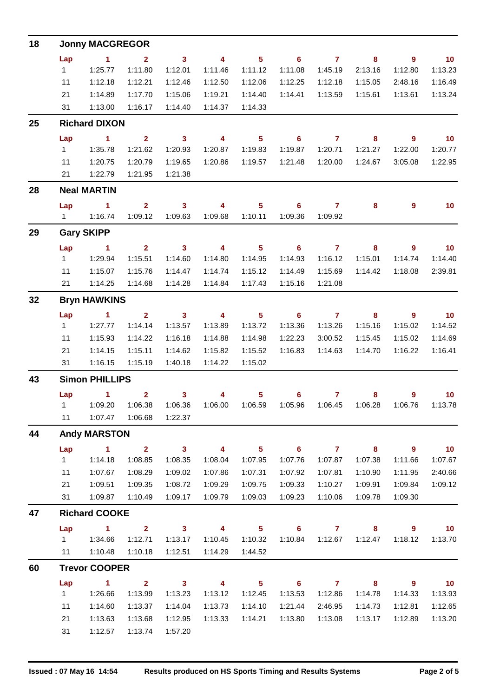| 18 |                      | <b>Jonny MACGREGOR</b>          |                         |                         |                          |                            |                            |                     |                                                               |                            |                             |  |  |  |
|----|----------------------|---------------------------------|-------------------------|-------------------------|--------------------------|----------------------------|----------------------------|---------------------|---------------------------------------------------------------|----------------------------|-----------------------------|--|--|--|
|    | Lap                  | $\sim$ 1                        | $\overline{\mathbf{2}}$ | $\overline{\mathbf{3}}$ | $\overline{4}$           | $\overline{\phantom{1}}$ 5 | $\overline{\phantom{0}}$ 6 | $\overline{7}$      | $\overline{\mathbf{8}}$                                       | $\overline{\phantom{a}}$   | $\overline{10}$             |  |  |  |
|    | 1                    | 1:25.77                         | 1:11.80                 | 1:12.01                 | 1:11.46                  | 1:11.12                    | 1:11.08                    | 1:45.19             | 2:13.16                                                       | 1:12.80                    | 1:13.23                     |  |  |  |
|    | 11                   | 1:12.18                         | 1:12.21                 | 1:12.46                 | 1:12.50                  | 1:12.06                    | 1:12.25                    | 1:12.18             | 1:15.05                                                       | 2:48.16                    | 1:16.49                     |  |  |  |
|    | 21                   | 1:14.89                         | 1:17.70                 | 1:15.06                 | 1:19.21                  | 1:14.40                    | 1:14.41                    | 1:13.59             | 1:15.61                                                       | 1:13.61                    | 1:13.24                     |  |  |  |
|    | 31                   | 1:13.00                         | 1:16.17                 | 1:14.40                 | 1:14.37                  | 1:14.33                    |                            |                     |                                                               |                            |                             |  |  |  |
| 25 | <b>Richard DIXON</b> |                                 |                         |                         |                          |                            |                            |                     |                                                               |                            |                             |  |  |  |
|    | Lap                  | $\sim$ 1                        | $\overline{2}$          | $\overline{\mathbf{3}}$ | $\overline{4}$           |                            | $5 \t\t 6 \t\t 7$          |                     | $\overline{\mathbf{8}}$                                       | $\overline{\phantom{a}}$   | $\overline{\phantom{0}}$ 10 |  |  |  |
|    | $1 \quad$            | 1:35.78                         | 1:21.62                 | 1:20.93                 | 1:20.87                  | 1:19.83                    | 1:19.87                    | 1:20.71             | 1:21.27                                                       | 1:22.00                    | 1:20.77                     |  |  |  |
|    | 11                   | 1:20.75                         | 1:20.79                 | 1:19.65                 | 1:20.86                  | 1:19.57                    | 1:21.48                    | 1:20.00             | 1:24.67                                                       | 3:05.08                    | 1:22.95                     |  |  |  |
|    |                      | 21   1:22.79                    | 1:21.95                 | 1:21.38                 |                          |                            |                            |                     |                                                               |                            |                             |  |  |  |
| 28 |                      | <b>Neal MARTIN</b>              |                         |                         |                          |                            |                            |                     |                                                               |                            |                             |  |  |  |
|    | Lap                  | $\sim$ $\sim$ 1                 |                         | $2 \t 3$                | $\overline{\mathbf{4}}$  | $\overline{\phantom{1}}$ 5 |                            | $6 \qquad \qquad 7$ | 8                                                             | $9^{\circ}$                | 10                          |  |  |  |
|    |                      | 1   1:16.74                     | 1:09.12                 | 1:09.63                 | 1:09.68                  | 1:10.11                    | 1:09.36                    | 1:09.92             |                                                               |                            |                             |  |  |  |
| 29 |                      | <b>Gary SKIPP</b>               |                         |                         |                          |                            |                            |                     |                                                               |                            |                             |  |  |  |
|    | Lap                  | $\sim$ $\sim$ 1.                | $\overline{2}$          | $\overline{\mathbf{3}}$ | $\overline{4}$           |                            | $5 \t 6 \t 7$              |                     | 8                                                             | $\overline{\phantom{a}}$ 9 | $\overline{10}$             |  |  |  |
|    | $1 -$                | 1:29.94                         | 1:15.51                 | 1:14.60                 | 1:14.80                  | 1:14.95                    | 1:14.93                    | 1:16.12             | 1:15.01                                                       | 1:14.74                    | 1:14.40                     |  |  |  |
|    | 11                   | 1:15.07                         | 1:15.76                 | 1:14.47                 | 1:14.74                  | 1:15.12                    | 1:14.49                    | 1:15.69             | 1:14.42                                                       | 1:18.08                    | 2:39.81                     |  |  |  |
|    |                      | 21  1:14.25                     | 1:14.68                 | 1:14.28                 | 1:14.84                  | 1:17.43                    | 1:15.16                    | 1:21.08             |                                                               |                            |                             |  |  |  |
| 32 |                      | <b>Bryn HAWKINS</b>             |                         |                         |                          |                            |                            |                     |                                                               |                            |                             |  |  |  |
|    | Lap                  | $\sim$ $\sim$ 1                 |                         | $2 \t 3 \t 4$           |                          | $\overline{\phantom{1}}$ 5 |                            | $6$ $7$ $8$         |                                                               | $\overline{\phantom{a}}$ 9 | $\overline{\mathbf{10}}$    |  |  |  |
|    | $1 \quad$            | 1:27.77                         | 1:14.14                 | 1:13.57                 | 1:13.89                  | 1:13.72                    | 1:13.36                    | 1:13.26             | 1:15.16                                                       | 1:15.02                    | 1:14.52                     |  |  |  |
|    | 11                   | 1:15.93                         | 1:14.22                 | 1:16.18                 | 1:14.88                  | 1:14.98                    | 1:22.23                    | 3:00.52             | 1:15.45                                                       | 1:15.02                    | 1:14.69                     |  |  |  |
|    | 21                   | 1:14.15                         | 1:15.11                 | 1:14.62                 | 1:15.82                  | 1:15.52                    | 1:16.83                    | 1:14.63             | 1:14.70                                                       | 1:16.22                    | 1:16.41                     |  |  |  |
|    |                      | 31  1:16.15                     | 1:15.19                 | 1:40.18                 | 1:14.22                  | 1:15.02                    |                            |                     |                                                               |                            |                             |  |  |  |
| 43 |                      | <b>Simon PHILLIPS</b>           |                         |                         |                          |                            |                            |                     |                                                               |                            |                             |  |  |  |
|    |                      | Lap 1 2 3 4 5 6 7 8 9 10        |                         |                         |                          |                            |                            |                     |                                                               |                            |                             |  |  |  |
|    |                      | 1   1:09.20   1:06.38   1:06.36 |                         |                         |                          |                            |                            |                     | 1:06.00  1:06.59  1:05.96  1:06.45  1:06.28  1:06.76  1:13.78 |                            |                             |  |  |  |
|    | 11                   |                                 | 1:07.47  1:06.68        | 1:22.37                 |                          |                            |                            |                     |                                                               |                            |                             |  |  |  |
| 44 |                      | <b>Andy MARSTON</b>             |                         |                         |                          |                            |                            |                     |                                                               |                            |                             |  |  |  |
|    | Lap                  | $\sim$ 1                        | $\overline{\mathbf{2}}$ | $\overline{\mathbf{3}}$ | $\overline{\mathbf{4}}$  | $\overline{\phantom{0}}$ 5 | $\overline{\phantom{0}}$ 6 | $\overline{7}$      | $\overline{\phantom{a}}$ 8                                    | $\overline{\phantom{a}}$   | 10                          |  |  |  |
|    | $1 \quad$            | 1:14.18                         | 1:08.85                 | 1:08.35                 | 1:08.04                  | 1:07.95                    | 1:07.76                    | 1:07.87             | 1:07.38                                                       | 1:11.66                    | 1:07.67                     |  |  |  |
|    | 11                   | 1:07.67                         | 1:08.29                 | 1:09.02                 | 1:07.86                  | 1:07.31                    | 1:07.92                    | 1:07.81             | 1:10.90                                                       | 1:11.95                    | 2:40.66                     |  |  |  |
|    | 21                   | 1:09.51                         | 1:09.35                 | 1:08.72                 | 1:09.29                  | 1:09.75                    | 1:09.33                    | 1:10.27             | 1:09.91                                                       | 1:09.84                    | 1:09.12                     |  |  |  |
|    | 31                   | 1:09.87                         | 1:10.49                 | 1:09.17                 | 1:09.79                  | 1:09.03                    | 1:09.23                    | 1:10.06             | 1:09.78                                                       | 1:09.30                    |                             |  |  |  |
| 47 |                      | <b>Richard COOKE</b>            |                         |                         |                          |                            |                            |                     |                                                               |                            |                             |  |  |  |
|    | Lap                  | $\sim$ 1                        | $\overline{\mathbf{2}}$ | $\sim$ 3                | $\overline{4}$           | $\overline{\phantom{0}}$ 5 | $\overline{\phantom{a}}$ 6 | $\overline{7}$      | 8                                                             | $\overline{\phantom{a}}$ 9 | 10                          |  |  |  |
|    |                      |                                 | 1:12.71                 | 1:13.17                 | 1:10.45                  | 1:10.32                    | 1:10.84                    | 1:12.67             | 1:12.47                                                       | 1:18.12                    | 1:13.70                     |  |  |  |
|    |                      | 11  1:10.48                     | 1:10.18                 | 1:12.51                 | 1:14.29                  | 1:44.52                    |                            |                     |                                                               |                            |                             |  |  |  |
| 60 |                      | <b>Trevor COOPER</b>            |                         |                         |                          |                            |                            |                     |                                                               |                            |                             |  |  |  |
|    | Lap                  | $\sim$ 1                        | $\overline{2}$          | $\overline{\mathbf{3}}$ | $\overline{\phantom{a}}$ | 5 <sub>5</sub>             | $\overline{\phantom{0}}$ 6 | $\overline{7}$      | 8                                                             | 9                          | 10                          |  |  |  |
|    | 1                    | 1:26.66                         | 1:13.99                 | 1:13.23                 | 1:13.12                  | 1:12.45                    | 1:13.53                    | 1:12.86             | 1:14.78                                                       | 1:14.33                    | 1:13.93                     |  |  |  |
|    | 11                   | 1:14.60                         | 1:13.37                 | 1:14.04                 | 1:13.73                  | 1:14.10                    | 1:21.44                    | 2:46.95             | 1:14.73                                                       | 1:12.81                    | 1:12.65                     |  |  |  |
|    | 21                   | 1:13.63                         | 1:13.68                 | 1:12.95                 | 1:13.33                  | 1:14.21                    | 1:13.80                    | 1:13.08             | 1:13.17                                                       | 1:12.89                    | 1:13.20                     |  |  |  |
|    | 31                   | 1:12.57                         | 1:13.74                 | 1:57.20                 |                          |                            |                            |                     |                                                               |                            |                             |  |  |  |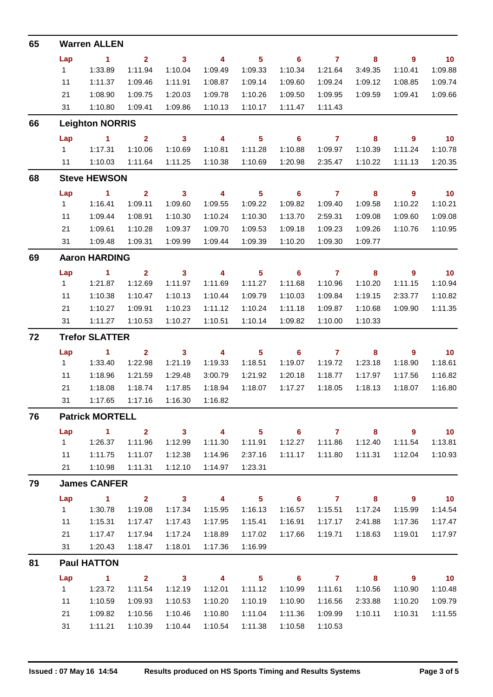| 65 |                       | <b>Warren ALLEN</b>    |                         |                         |                         |                            |                            |                |                         |                            |                 |  |  |
|----|-----------------------|------------------------|-------------------------|-------------------------|-------------------------|----------------------------|----------------------------|----------------|-------------------------|----------------------------|-----------------|--|--|
|    | Lap                   | $\blacksquare$ 1       | 2 <sup>1</sup>          | $\mathbf{3}$            | $\overline{\mathbf{4}}$ | 5 <sup>5</sup>             | $\overline{\phantom{0}}$ 6 | $\overline{7}$ | 8                       | $\overline{9}$             | 10              |  |  |
|    | 1                     | 1:33.89                | 1:11.94                 | 1:10.04                 | 1:09.49                 | 1:09.33                    | 1:10.34                    | 1:21.64        | 3:49.35                 | 1:10.41                    | 1:09.88         |  |  |
|    | 11                    | 1:11.37                | 1:09.46                 | 1:11.91                 | 1:08.87                 | 1:09.14                    | 1:09.60                    | 1:09.24        | 1:09.12                 | 1:08.85                    | 1:09.74         |  |  |
|    | 21                    | 1:08.90                | 1:09.75                 | 1:20.03                 | 1:09.78                 | 1:10.26                    | 1:09.50                    | 1:09.95        | 1:09.59                 | 1:09.41                    | 1:09.66         |  |  |
|    | 31                    | 1:10.80                | 1:09.41                 | 1:09.86                 | 1:10.13                 | 1:10.17                    | 1:11.47                    | 1:11.43        |                         |                            |                 |  |  |
| 66 |                       | <b>Leighton NORRIS</b> |                         |                         |                         |                            |                            |                |                         |                            |                 |  |  |
|    | Lap                   | $\sim$ 1               | $\overline{2}$          | $\mathbf{3}$            | $\overline{4}$          | 5 <sub>5</sub>             | $\overline{\phantom{0}}$ 6 | $\overline{7}$ | 8                       | $\overline{\phantom{a}}$   | 10              |  |  |
|    | $1 \quad$             | 1:17.31                | 1:10.06                 | 1:10.69                 | 1:10.81                 | 1:11.28                    | 1:10.88                    | 1:09.97        | 1:10.39                 | 1:11.24                    | 1:10.78         |  |  |
|    | 11                    | 1:10.03                | 1:11.64                 | 1:11.25                 | 1:10.38                 | 1:10.69                    | 1:20.98                    | 2:35.47        | 1:10.22                 | 1:11.13                    | 1:20.35         |  |  |
| 68 |                       | <b>Steve HEWSON</b>    |                         |                         |                         |                            |                            |                |                         |                            |                 |  |  |
|    | Lap                   | $\blacktriangleleft$   | $\overline{2}$          | $\mathbf{3}$            | $\overline{\mathbf{4}}$ | $5\phantom{a}$             | 6                          | $\overline{7}$ | 8                       | 9                          | 10              |  |  |
|    | 1                     | 1:16.41                | 1:09.11                 | 1:09.60                 | 1:09.55                 | 1:09.22                    | 1:09.82                    | 1:09.40        | 1:09.58                 | 1:10.22                    | 1:10.21         |  |  |
|    | 11                    | 1:09.44                | 1:08.91                 | 1:10.30                 | 1:10.24                 | 1:10.30                    | 1:13.70                    | 2:59.31        | 1:09.08                 | 1:09.60                    | 1:09.08         |  |  |
|    | 21                    | 1:09.61                | 1:10.28                 | 1:09.37                 | 1:09.70                 | 1:09.53                    | 1:09.18                    | 1:09.23        | 1:09.26                 | 1:10.76                    | 1:10.95         |  |  |
|    | 31                    | 1:09.48                | 1:09.31                 | 1:09.99                 | 1:09.44                 | 1:09.39                    | 1:10.20                    | 1:09.30        | 1:09.77                 |                            |                 |  |  |
| 69 |                       | <b>Aaron HARDING</b>   |                         |                         |                         |                            |                            |                |                         |                            |                 |  |  |
|    | Lap                   | $\blacktriangleleft$   | $\overline{2}$          | $\mathbf{3}$            | $\overline{\mathbf{4}}$ | $5\phantom{a}$             | 6                          | $\overline{7}$ | 8                       | 9                          | 10              |  |  |
|    | 1                     | 1:21.87                | 1:12.69                 | 1:11.97                 | 1:11.69                 | 1:11.27                    | 1:11.68                    | 1:10.96        | 1:10.20                 | 1:11.15                    | 1:10.94         |  |  |
|    | 11                    | 1:10.38                | 1:10.47                 | 1:10.13                 | 1:10.44                 | 1:09.79                    | 1:10.03                    | 1:09.84        | 1:19.15                 | 2:33.77                    | 1:10.82         |  |  |
|    | 21                    | 1:10.27                | 1:09.91                 | 1:10.23                 | 1:11.12                 | 1:10.24                    | 1:11.18                    | 1:09.87        | 1:10.68                 | 1:09.90                    | 1:11.35         |  |  |
|    | 31                    | 1:11.27                | 1:10.53                 | 1:10.27                 | 1:10.51                 | 1:10.14                    | 1:09.82                    | 1:10.00        | 1:10.33                 |                            |                 |  |  |
| 72 | <b>Trefor SLATTER</b> |                        |                         |                         |                         |                            |                            |                |                         |                            |                 |  |  |
|    | Lap                   | $\sim$ 1               | $\mathbf{2}$            | $\mathbf{3}$            | $\overline{\mathbf{4}}$ | $5\phantom{a}$             | 6                          | $\overline{7}$ | 8                       | 9                          | 10              |  |  |
|    | $1 \quad$             | 1:33.40                | 1:22.98                 | 1:21.19                 | 1:19.33                 | 1:18.51                    | 1:19.07                    | 1:19.72        | 1:23.18                 | 1:18.90                    | 1:18.61         |  |  |
|    | 11                    | 1:18.96                | 1:21.59                 | 1:29.48                 | 3:00.79                 | 1:21.92                    | 1:20.18                    | 1:18.77        | 1:17.97                 | 1:17.56                    | 1:16.82         |  |  |
|    | 21                    | 1:18.08                | 1:18.74                 | 1:17.85                 | 1:18.94                 | 1:18.07                    | 1:17.27                    | 1:18.05        | 1:18.13                 | 1:18.07                    | 1:16.80         |  |  |
|    | 31                    | 1:17.65                | 1:17.16                 | 1:16.30                 | 1:16.82                 |                            |                            |                |                         |                            |                 |  |  |
| 76 |                       | <b>Patrick MORTELL</b> |                         |                         |                         |                            |                            |                |                         |                            |                 |  |  |
|    | Lap                   | $\sim$ 1               | $\overline{\mathbf{2}}$ | $\overline{\mathbf{3}}$ | $\overline{\mathbf{4}}$ |                            | $5 \t\t 6 \t\t 7$          |                | $\overline{\mathbf{8}}$ | $\overline{\phantom{a}}$ 9 | $\overline{10}$ |  |  |
|    | 1                     | 1:26.37                | 1:11.96                 | 1:12.99                 | 1:11.30                 | 1:11.91                    | 1:12.27                    | 1:11.86        | 1:12.40                 | 1:11.54                    | 1:13.81         |  |  |
|    | 11                    | 1:11.75                | 1:11.07                 | 1:12.38                 | 1:14.96                 | 2:37.16                    | 1:11.17                    | 1:11.80        | 1:11.31                 | 1:12.04                    | 1:10.93         |  |  |
|    |                       | 21 1:10.98             | 1:11.31                 | 1:12.10                 | 1:14.97                 | 1:23.31                    |                            |                |                         |                            |                 |  |  |
| 79 |                       | <b>James CANFER</b>    |                         |                         |                         |                            |                            |                |                         |                            |                 |  |  |
|    | Lap                   | $\sim$ 1               | $\overline{\mathbf{2}}$ | $\overline{\mathbf{3}}$ | $\overline{\mathbf{4}}$ | $\overline{\phantom{0}}$ 5 |                            | $6$ $7$ $8$    |                         | $\overline{\phantom{a}}$ 9 | $\overline{10}$ |  |  |
|    | $1 \quad$             | 1:30.78                | 1:19.08                 | 1:17.34                 | 1:15.95                 | 1:16.13                    | 1:16.57                    | 1:15.51        | 1:17.24                 | 1:15.99                    | 1:14.54         |  |  |
|    | 11                    | 1:15.31                | 1:17.47                 | 1:17.43                 | 1:17.95                 | 1:15.41                    | 1:16.91                    | 1:17.17        | 2:41.88                 | 1:17.36                    | 1:17.47         |  |  |
|    | 21                    | 1:17.47                | 1:17.94                 | 1:17.24                 | 1:18.89                 | 1:17.02                    | 1:17.66                    | 1:19.71        | 1:18.63                 | 1:19.01                    | 1:17.97         |  |  |
|    | 31                    | 1:20.43                | 1:18.47                 | 1:18.01                 | 1:17.36                 | 1:16.99                    |                            |                |                         |                            |                 |  |  |
| 81 |                       | <b>Paul HATTON</b>     |                         |                         |                         |                            |                            |                |                         |                            |                 |  |  |
|    | Lap                   | $\sim$ 1.              | $\overline{\mathbf{2}}$ | $\overline{\mathbf{3}}$ | $\overline{\mathbf{A}}$ | $\overline{\phantom{0}}$ 5 |                            | $6$ $7$ $8$    |                         | $\overline{\phantom{a}}$ 9 | $\overline{10}$ |  |  |
|    | $1 \quad$             | 1:23.72                | 1:11.54                 | 1:12.19                 | 1:12.01                 | 1:11.12                    | 1:10.99                    | 1:11.61        | 1:10.56                 | 1:10.90                    | 1:10.48         |  |  |
|    | 11                    | 1:10.59                | 1:09.93                 | 1:10.53                 | 1:10.20                 | 1:10.19                    | 1:10.90                    | 1:16.56        | 2:33.88                 | 1:10.20                    | 1:09.79         |  |  |
|    | 21                    | 1:09.82                | 1:10.56                 | 1:10.46                 | 1:10.80                 | 1:11.04                    | 1:11.36                    | 1:09.99        | 1:10.11                 | 1:10.31                    | 1:11.55         |  |  |
|    | 31                    | 1:11.21                | 1:10.39                 | 1:10.44                 | 1:10.54                 | 1:11.38                    | 1:10.58                    | 1:10.53        |                         |                            |                 |  |  |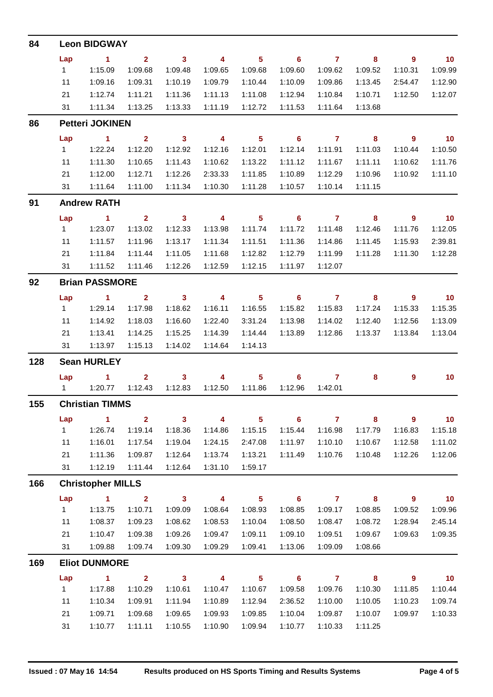| 84  |                        | <b>Leon BIDGWAY</b>      |                         |                            |                          |                            |                            |                |                         |                            |                          |  |  |  |  |  |  |  |
|-----|------------------------|--------------------------|-------------------------|----------------------------|--------------------------|----------------------------|----------------------------|----------------|-------------------------|----------------------------|--------------------------|--|--|--|--|--|--|--|
|     | Lap                    | $\blacksquare$ 1         | $\overline{2}$          | $\overline{\phantom{a}}$ 3 | $\overline{\mathbf{4}}$  | 5 <sup>5</sup>             | $\overline{\phantom{0}}$ 6 | $\overline{7}$ | 8                       | $\overline{9}$             | $\overline{10}$          |  |  |  |  |  |  |  |
|     | 1                      | 1:15.09                  | 1:09.68                 | 1:09.48                    | 1:09.65                  | 1:09.68                    | 1:09.60                    | 1:09.62        | 1:09.52                 | 1:10.31                    | 1:09.99                  |  |  |  |  |  |  |  |
|     | 11                     | 1:09.16                  | 1:09.31                 | 1:10.19                    | 1:09.79                  | 1:10.44                    | 1:10.09                    | 1:09.86        | 1:13.45                 | 2:54.47                    | 1:12.90                  |  |  |  |  |  |  |  |
|     | 21                     | 1:12.74                  | 1:11.21                 | 1:11.36                    | 1:11.13                  | 1:11.08                    | 1:12.94                    | 1:10.84        | 1:10.71                 | 1:12.50                    | 1:12.07                  |  |  |  |  |  |  |  |
|     | 31                     | 1:11.34                  | 1:13.25                 | 1:13.33                    | 1:11.19                  | 1:12.72                    | 1:11.53                    | 1:11.64        | 1:13.68                 |                            |                          |  |  |  |  |  |  |  |
| 86  | <b>Petteri JOKINEN</b> |                          |                         |                            |                          |                            |                            |                |                         |                            |                          |  |  |  |  |  |  |  |
|     | Lap                    | $\sim$ 1                 | $\mathbf{2}$            | $\overline{\mathbf{3}}$    | $\overline{\mathbf{4}}$  | $\sqrt{5}$                 | $\overline{\phantom{0}}$ 6 | $\overline{7}$ | $\overline{\mathbf{8}}$ | - 9                        | $\overline{10}$          |  |  |  |  |  |  |  |
|     | $1 \quad$              | 1:22.24                  | 1:12.20                 | 1:12.92                    | 1:12.16                  | 1:12.01                    | 1:12.14                    | 1:11.91        | 1:11.03                 | 1:10.44                    | 1:10.50                  |  |  |  |  |  |  |  |
|     | 11                     | 1:11.30                  | 1:10.65                 | 1:11.43                    | 1:10.62                  | 1:13.22                    | 1:11.12                    | 1:11.67        | 1:11.11                 | 1:10.62                    | 1:11.76                  |  |  |  |  |  |  |  |
|     | 21                     | 1:12.00                  | 1:12.71                 | 1:12.26                    | 2:33.33                  | 1:11.85                    | 1:10.89                    | 1:12.29        | 1:10.96                 | 1:10.92                    | 1:11.10                  |  |  |  |  |  |  |  |
|     | 31                     | 1:11.64                  | 1:11.00                 | 1:11.34                    | 1:10.30                  | 1:11.28                    | 1:10.57                    | 1:10.14        | 1:11.15                 |                            |                          |  |  |  |  |  |  |  |
| 91  |                        | <b>Andrew RATH</b>       |                         |                            |                          |                            |                            |                |                         |                            |                          |  |  |  |  |  |  |  |
|     | Lap                    | $\sim$ 1                 | $\overline{2}$          | $\overline{\phantom{a}}$ 3 | $\overline{\phantom{a}}$ | $\overline{\phantom{0}}$ 5 | $\overline{\phantom{0}}$ 6 | $\overline{7}$ | $\overline{\mathbf{8}}$ | $\overline{\phantom{a}}$   | $\overline{\mathbf{10}}$ |  |  |  |  |  |  |  |
|     | 1                      | 1:23.07                  | 1:13.02                 | 1:12.33                    | 1:13.98                  | 1:11.74                    | 1:11.72                    | 1:11.48        | 1:12.46                 | 1:11.76                    | 1:12.05                  |  |  |  |  |  |  |  |
|     | 11                     | 1:11.57                  | 1:11.96                 | 1:13.17                    | 1:11.34                  | 1:11.51                    | 1:11.36                    | 1:14.86        | 1:11.45                 | 1:15.93                    | 2:39.81                  |  |  |  |  |  |  |  |
|     | 21                     | 1:11.84                  | 1:11.44                 | 1:11.05                    | 1:11.68                  | 1:12.82                    | 1:12.79                    | 1:11.99        | 1:11.28                 | 1:11.30                    | 1:12.28                  |  |  |  |  |  |  |  |
|     | 31                     | 1:11.52                  | 1:11.46                 | 1:12.26                    | 1:12.59                  | 1:12.15                    | 1:11.97                    | 1:12.07        |                         |                            |                          |  |  |  |  |  |  |  |
| 92  |                        | <b>Brian PASSMORE</b>    |                         |                            |                          |                            |                            |                |                         |                            |                          |  |  |  |  |  |  |  |
|     | Lap                    | $\sim$ 1                 | $\mathbf{2}$            | $\overline{\mathbf{3}}$    | $\overline{\phantom{a}}$ | 5 <sup>5</sup>             | $\overline{\phantom{0}}$ 6 | $\overline{7}$ | 8                       | $\overline{\phantom{a}}$   | $\overline{\mathbf{10}}$ |  |  |  |  |  |  |  |
|     | 1                      | 1:29.14                  | 1:17.98                 | 1:18.62                    | 1:16.11                  | 1:16.55                    | 1:15.82                    | 1:15.83        | 1:17.24                 | 1:15.33                    | 1:15.35                  |  |  |  |  |  |  |  |
|     | 11                     | 1:14.92                  | 1:18.03                 | 1:16.60                    | 1:22.40                  | 3:31.24                    | 1:13.98                    | 1:14.02        | 1:12.40                 | 1:12.56                    | 1:13.09                  |  |  |  |  |  |  |  |
|     | 21                     | 1:13.41                  | 1:14.25                 | 1:15.25                    | 1:14.39                  | 1:14.44                    | 1:13.89                    | 1:12.86        | 1:13.37                 | 1:13.84                    | 1:13.04                  |  |  |  |  |  |  |  |
|     | 31                     | 1:13.97                  | 1:15.13                 | 1:14.02                    | 1:14.64                  | 1:14.13                    |                            |                |                         |                            |                          |  |  |  |  |  |  |  |
| 128 | <b>Sean HURLEY</b>     |                          |                         |                            |                          |                            |                            |                |                         |                            |                          |  |  |  |  |  |  |  |
|     | Lap                    | $\blacktriangleleft$     | $\overline{2}$          | 3                          | 4                        | 5 <sub>5</sub>             | $\overline{\phantom{0}}$ 6 | $\overline{7}$ | 8                       | 9                          | 10                       |  |  |  |  |  |  |  |
|     | $1 \quad$              | 1:20.77                  | 1:12.43                 | 1:12.83                    | 1:12.50                  | 1:11.86                    | 1:12.96                    | 1:42.01        |                         |                            |                          |  |  |  |  |  |  |  |
| 155 | <b>Christian TIMMS</b> |                          |                         |                            |                          |                            |                            |                |                         |                            |                          |  |  |  |  |  |  |  |
|     | Lap                    | $\sim$ 1                 | $\overline{2}$          | $\overline{\mathbf{3}}$    | $\overline{\mathbf{4}}$  | 5 <sub>5</sub>             | $\overline{\phantom{0}}$ 6 | $\overline{7}$ | 8                       | 9                          | 10                       |  |  |  |  |  |  |  |
|     | 1                      | 1:26.74                  | 1:19.14                 | 1:18.36                    | 1:14.86                  | 1:15.15                    | 1:15.44                    | 1:16.98        | 1:17.79                 | 1:16.83                    | 1:15.18                  |  |  |  |  |  |  |  |
|     | 11                     | 1:16.01                  | 1:17.54                 | 1:19.04                    | 1:24.15                  | 2:47.08                    | 1:11.97                    | 1:10.10        | 1:10.67                 | 1:12.58                    | 1:11.02                  |  |  |  |  |  |  |  |
|     | 21                     | 1:11.36                  | 1:09.87                 | 1:12.64                    | 1:13.74                  | 1:13.21                    | 1:11.49                    | 1:10.76        | 1:10.48                 | 1:12.26                    | 1:12.06                  |  |  |  |  |  |  |  |
|     | 31                     | 1:12.19                  | 1:11.44                 | 1:12.64                    | 1:31.10                  | 1:59.17                    |                            |                |                         |                            |                          |  |  |  |  |  |  |  |
| 166 |                        | <b>Christopher MILLS</b> |                         |                            |                          |                            |                            |                |                         |                            |                          |  |  |  |  |  |  |  |
|     | Lap                    | $\sim$ 1                 | $\overline{\mathbf{2}}$ | $\overline{\mathbf{3}}$    | $\overline{\mathbf{4}}$  | $\overline{\phantom{0}}$ 5 | $\overline{\phantom{0}}$ 6 | $\overline{7}$ | 8                       | $\overline{\phantom{a}}$   | $\overline{\mathbf{10}}$ |  |  |  |  |  |  |  |
|     | $1 \quad$              | 1:13.75                  | 1:10.71                 | 1:09.09                    | 1:08.64                  | 1:08.93                    | 1:08.85                    | 1:09.17        | 1:08.85                 | 1:09.52                    | 1:09.96                  |  |  |  |  |  |  |  |
|     | 11                     | 1:08.37                  | 1:09.23                 | 1:08.62                    | 1:08.53                  | 1:10.04                    | 1:08.50                    | 1:08.47        | 1:08.72                 | 1:28.94                    | 2:45.14                  |  |  |  |  |  |  |  |
|     | 21                     | 1:10.47                  | 1:09.38                 | 1:09.26                    | 1:09.47                  | 1:09.11                    | 1:09.10                    | 1:09.51        | 1:09.67                 | 1:09.63                    | 1:09.35                  |  |  |  |  |  |  |  |
|     | 31                     | 1:09.88                  | 1:09.74                 | 1:09.30                    | 1:09.29                  | 1:09.41                    | 1:13.06                    | 1:09.09        | 1:08.66                 |                            |                          |  |  |  |  |  |  |  |
| 169 |                        | <b>Eliot DUNMORE</b>     |                         |                            |                          |                            |                            |                |                         |                            |                          |  |  |  |  |  |  |  |
|     | Lap                    | $\sim$ 1                 | $\overline{\mathbf{2}}$ | $\overline{\mathbf{3}}$    | $\overline{4}$           | $5\phantom{.0}$            | $\overline{\phantom{0}}$ 6 | $\overline{7}$ | 8                       | $\overline{\phantom{a}}$ 9 | $\overline{10}$          |  |  |  |  |  |  |  |
|     | $1 \quad$              | 1:17.88                  | 1:10.29                 | 1:10.61                    | 1:10.47                  | 1:10.67                    | 1:09.58                    | 1:09.76        | 1:10.30                 | 1:11.85                    | 1:10.44                  |  |  |  |  |  |  |  |
|     | 11                     | 1:10.34                  | 1:09.91                 | 1:11.94                    | 1:10.89                  | 1:12.94                    | 2:36.52                    | 1:10.00        | 1:10.05                 | 1:10.23                    | 1:09.74                  |  |  |  |  |  |  |  |
|     | 21                     | 1:09.71                  | 1:09.68                 | 1:09.65                    | 1:09.93                  | 1:09.85                    | 1:10.04                    | 1:09.87        | 1:10.07                 | 1:09.97                    | 1:10.33                  |  |  |  |  |  |  |  |
|     | 31                     | 1:10.77                  | 1:11.11                 | 1:10.55                    | 1:10.90                  | 1:09.94                    | 1:10.77                    | 1:10.33        | 1:11.25                 |                            |                          |  |  |  |  |  |  |  |